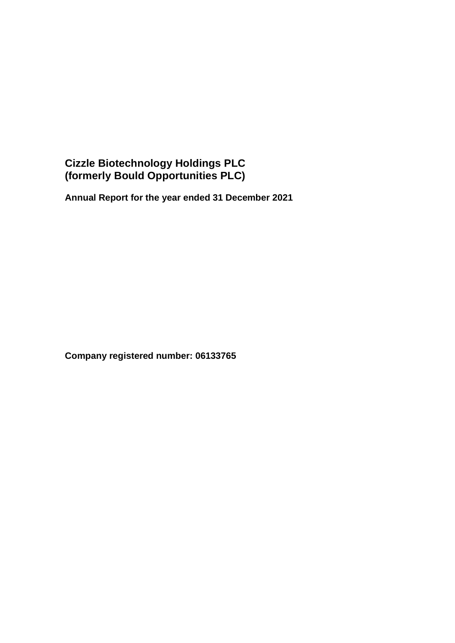**Annual Report for the year ended 31 December 2021**

**Company registered number: 06133765**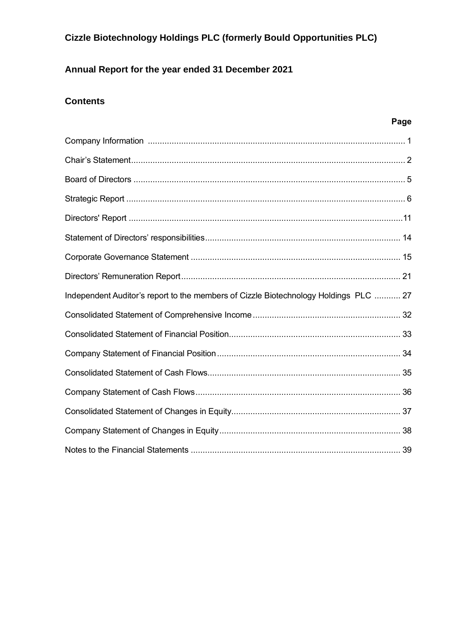# **Annual Report for the year ended 31 December 2021**

# **Contents**

# **Page**

| Independent Auditor's report to the members of Cizzle Biotechnology Holdings PLC  27 |
|--------------------------------------------------------------------------------------|
|                                                                                      |
|                                                                                      |
|                                                                                      |
|                                                                                      |
|                                                                                      |
|                                                                                      |
|                                                                                      |
|                                                                                      |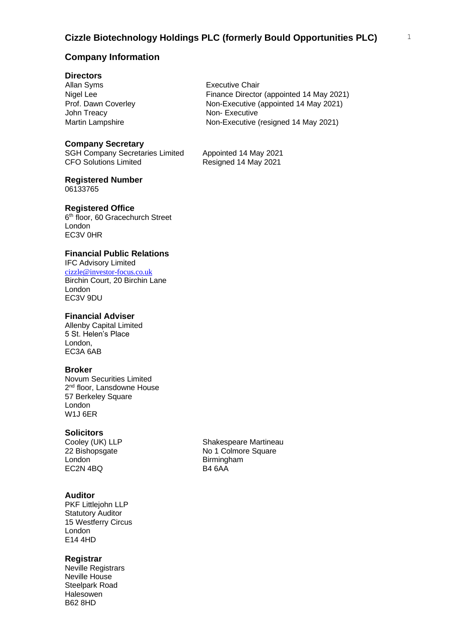# **Company Information**

### **Directors**

Allan Syms Nigel Lee Prof. Dawn Coverley John Treacy

### **Company Secretary**

SGH Company Secretaries Limited Appointed 14 May 2021 CFO Solutions Limited Resigned 14 May 2021

# **Registered Number**

06133765

### **Registered Office**

6<sup>th</sup> floor, 60 Gracechurch Street London EC3V 0HR

### **Financial Public Relations**

IFC Advisory Limited [cizzle@investor-focus.co.uk](mailto:cizzle@investor-focus.co.uk) Birchin Court, 20 Birchin Lane London EC3V 9DU

### **Financial Adviser**

Allenby Capital Limited 5 St. Helen's Place London, EC3A 6AB

### **Broker**

Novum Securities Limited 2<sup>nd</sup> floor, Lansdowne House 57 Berkeley Square London W1J 6ER

### **Solicitors**

London Birmingham<br>EC2N 4BQ B4 6AA  $EC2N$  4BQ

### **Auditor**

PKF Littlejohn LLP Statutory Auditor 15 Westferry Circus London E14 4HD

### **Registrar**

Neville Registrars Neville House Steelpark Road Halesowen B62 8HD

Cooley (UK) LLP Shakespeare Martineau 22 Bishopsgate No 1 Colmore Square

Executive Chair Finance Director (appointed 14 May 2021) Non-Executive (appointed 14 May 2021) Non- Executive Martin Lampshire Mon-Executive (resigned 14 May 2021)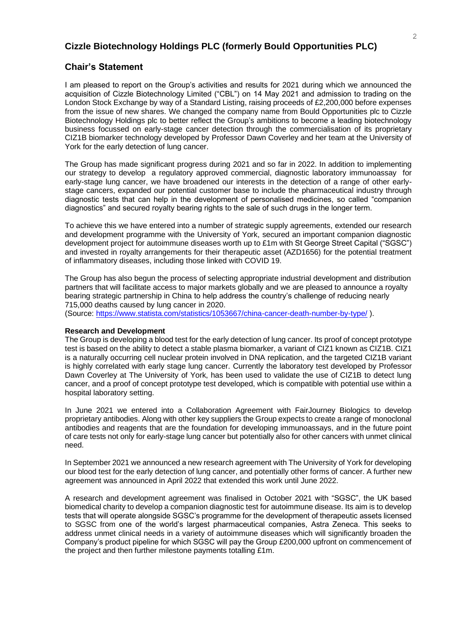### **Chair's Statement**

I am pleased to report on the Group's activities and results for 2021 during which we announced the acquisition of Cizzle Biotechnology Limited ("CBL") on 14 May 2021 and admission to trading on the London Stock Exchange by way of a Standard Listing, raising proceeds of £2,200,000 before expenses from the issue of new shares. We changed the company name from Bould Opportunities plc to Cizzle Biotechnology Holdings plc to better reflect the Group's ambitions to become a leading biotechnology business focussed on early-stage cancer detection through the commercialisation of its proprietary CIZ1B biomarker technology developed by Professor Dawn Coverley and her team at the University of York for the early detection of lung cancer.

The Group has made significant progress during 2021 and so far in 2022. In addition to implementing our strategy to develop a regulatory approved commercial, diagnostic laboratory immunoassay for early-stage lung cancer, we have broadened our interests in the detection of a range of other earlystage cancers, expanded our potential customer base to include the pharmaceutical industry through diagnostic tests that can help in the development of personalised medicines, so called "companion diagnostics" and secured royalty bearing rights to the sale of such drugs in the longer term.

To achieve this we have entered into a number of strategic supply agreements, extended our research and development programme with the University of York, secured an important companion diagnostic development project for autoimmune diseases worth up to £1m with St George Street Capital ("SGSC") and invested in royalty arrangements for their therapeutic asset (AZD1656) for the potential treatment of inflammatory diseases, including those linked with COVID 19.

The Group has also begun the process of selecting appropriate industrial development and distribution partners that will facilitate access to major markets globally and we are pleased to announce a royalty bearing strategic partnership in China to help address the country's challenge of reducing nearly 715,000 deaths caused by lung cancer in 2020. (Source:<https://www.statista.com/statistics/1053667/china-cancer-death-number-by-type/> ).

#### **Research and Development**

The Group is developing a blood test for the early detection of lung cancer. Its proof of concept prototype test is based on the ability to detect a stable plasma biomarker, a variant of CIZ1 known as CIZ1B. CIZ1 is a naturally occurring cell nuclear protein involved in DNA replication, and the targeted CIZ1B variant is highly correlated with early stage lung cancer. Currently the laboratory test developed by Professor Dawn Coverley at The University of York, has been used to validate the use of CIZ1B to detect lung cancer, and a proof of concept prototype test developed, which is compatible with potential use within a hospital laboratory setting.

In June 2021 we entered into a Collaboration Agreement with FairJourney Biologics to develop proprietary antibodies. Along with other key suppliers the Group expects to create a range of monoclonal antibodies and reagents that are the foundation for developing immunoassays, and in the future point of care tests not only for early-stage lung cancer but potentially also for other cancers with unmet clinical need.

In September 2021 we announced a new research agreement with The University of York for developing our blood test for the early detection of lung cancer, and potentially other forms of cancer. A further new agreement was announced in April 2022 that extended this work until June 2022.

A research and development agreement was finalised in October 2021 with "SGSC", the UK based biomedical charity to develop a companion diagnostic test for autoimmune disease. Its aim is to develop tests that will operate alongside SGSC's programme for the development of therapeutic assets licensed to SGSC from one of the world's largest pharmaceutical companies, Astra Zeneca. This seeks to address unmet clinical needs in a variety of autoimmune diseases which will significantly broaden the Company's product pipeline for which SGSC will pay the Group £200,000 upfront on commencement of the project and then further milestone payments totalling £1m.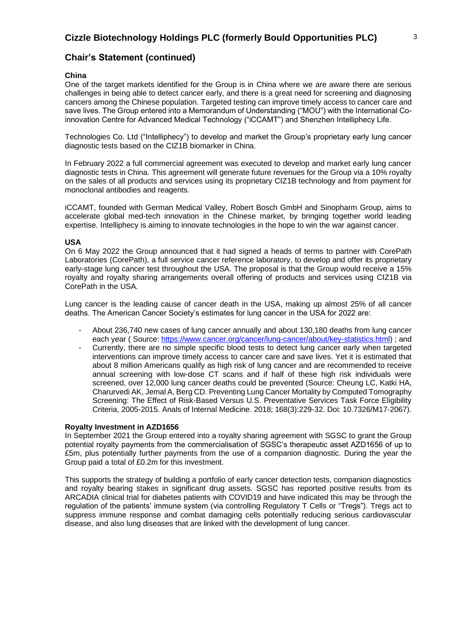# **Chair's Statement (continued)**

### **China**

One of the target markets identified for the Group is in China where we are aware there are serious challenges in being able to detect cancer early, and there is a great need for screening and diagnosing cancers among the Chinese population. Targeted testing can improve timely access to cancer care and save lives. The Group entered into a Memorandum of Understanding ("MOU") with the International Coinnovation Centre for Advanced Medical Technology ("iCCAMT") and Shenzhen Intelliphecy Life.

Technologies Co. Ltd ("Intelliphecy") to develop and market the Group's proprietary early lung cancer diagnostic tests based on the CIZ1B biomarker in China.

In February 2022 a full commercial agreement was executed to develop and market early lung cancer diagnostic tests in China. This agreement will generate future revenues for the Group via a 10% royalty on the sales of all products and services using its proprietary CIZ1B technology and from payment for monoclonal antibodies and reagents.

iCCAMT, founded with German Medical Valley, Robert Bosch GmbH and Sinopharm Group, aims to accelerate global med-tech innovation in the Chinese market, by bringing together world leading expertise. Intelliphecy is aiming to innovate technologies in the hope to win the war against cancer.

### **USA**

On 6 May 2022 the Group announced that it had signed a heads of terms to partner with CorePath Laboratories (CorePath), a full service cancer reference laboratory, to develop and offer its proprietary early-stage lung cancer test throughout the USA. The proposal is that the Group would receive a 15% royalty and royalty sharing arrangements overall offering of products and services using CIZ1B via CorePath in the USA.

Lung cancer is the leading cause of cancer death in the USA, making up almost 25% of all cancer deaths. The American Cancer Society's estimates for lung cancer in the USA for 2022 are:

- About 236,740 new cases of lung cancer annually and about 130,180 deaths from lung cancer each year ( Source: [https://www.cancer.org/cancer/lung-cancer/about/key-statistics.html\)](https://www.cancer.org/cancer/lung-cancer/about/key-statistics.html) ; and
- Currently, there are no simple specific blood tests to detect lung cancer early when targeted interventions can improve timely access to cancer care and save lives. Yet it is estimated that about 8 million Americans qualify as high risk of lung cancer and are recommended to receive annual screening with low-dose CT scans and if half of these high risk individuals were screened, over 12,000 lung cancer deaths could be prevented (Source: Cheung LC, Katki HA, Charurvedi AK, Jemal A, Berg CD. Preventing Lung Cancer Mortality by Computed Tomography Screening: The Effect of Risk-Based Versus U.S. Preventative Services Task Force Eligibility Criteria, 2005-2015. Anals of Internal Medicine. 2018; 168(3):229-32. Doi: 10.7326/M17-2067).

### **Royalty Investment in AZD1656**

In September 2021 the Group entered into a royalty sharing agreement with SGSC to grant the Group potential royalty payments from the commercialisation of SGSC's therapeutic asset AZD1656 of up to £5m, plus potentially further payments from the use of a companion diagnostic. During the year the Group paid a total of £0.2m for this investment.

This supports the strategy of building a portfolio of early cancer detection tests, companion diagnostics and royalty bearing stakes in significant drug assets. SGSC has reported positive results from its ARCADIA clinical trial for diabetes patients with COVID19 and have indicated this may be through the regulation of the patients' immune system (via controlling Regulatory T Cells or "Tregs"). Tregs act to suppress immune response and combat damaging cells potentially reducing serious cardiovascular disease, and also lung diseases that are linked with the development of lung cancer.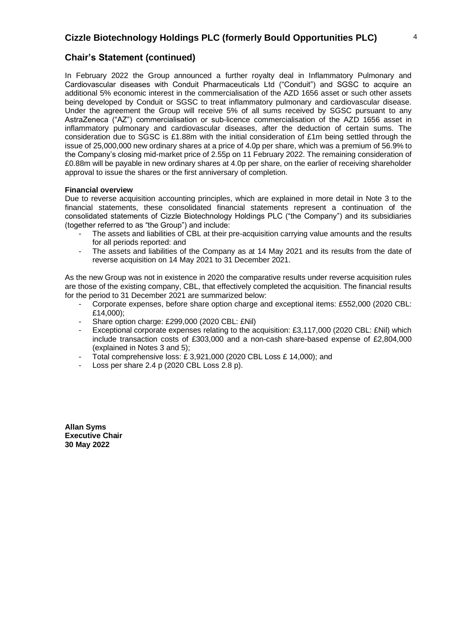# **Chair's Statement (continued)**

In February 2022 the Group announced a further royalty deal in Inflammatory Pulmonary and Cardiovascular diseases with Conduit Pharmaceuticals Ltd ("Conduit") and SGSC to acquire an additional 5% economic interest in the commercialisation of the AZD 1656 asset or such other assets being developed by Conduit or SGSC to treat inflammatory pulmonary and cardiovascular disease. Under the agreement the Group will receive 5% of all sums received by SGSC pursuant to any AstraZeneca ("AZ") commercialisation or sub-licence commercialisation of the AZD 1656 asset in inflammatory pulmonary and cardiovascular diseases, after the deduction of certain sums. The consideration due to SGSC is £1.88m with the initial consideration of £1m being settled through the issue of 25,000,000 new ordinary shares at a price of 4.0p per share, which was a premium of 56.9% to the Company's closing mid-market price of 2.55p on 11 February 2022. The remaining consideration of £0.88m will be payable in new ordinary shares at 4.0p per share, on the earlier of receiving shareholder approval to issue the shares or the first anniversary of completion.

### **Financial overview**

Due to reverse acquisition accounting principles, which are explained in more detail in Note 3 to the financial statements, these consolidated financial statements represent a continuation of the consolidated statements of Cizzle Biotechnology Holdings PLC ("the Company") and its subsidiaries (together referred to as "the Group") and include:

- The assets and liabilities of CBL at their pre-acquisition carrying value amounts and the results for all periods reported: and
- The assets and liabilities of the Company as at 14 May 2021 and its results from the date of reverse acquisition on 14 May 2021 to 31 December 2021.

As the new Group was not in existence in 2020 the comparative results under reverse acquisition rules are those of the existing company, CBL, that effectively completed the acquisition. The financial results for the period to 31 December 2021 are summarized below:

- Corporate expenses, before share option charge and exceptional items: £552,000 (2020 CBL: £14,000);
- Share option charge: £299,000 (2020 CBL: £Nil)
- Exceptional corporate expenses relating to the acquisition: £3,117,000 (2020 CBL: £Nil) which include transaction costs of £303,000 and a non-cash share-based expense of £2,804,000 (explained in Notes 3 and 5);
- Total comprehensive loss: £ 3,921,000 (2020 CBL Loss £ 14,000); and
- Loss per share  $2.4$  p (2020 CBL Loss  $2.8$  p).

**Allan Syms Executive Chair 30 May 2022**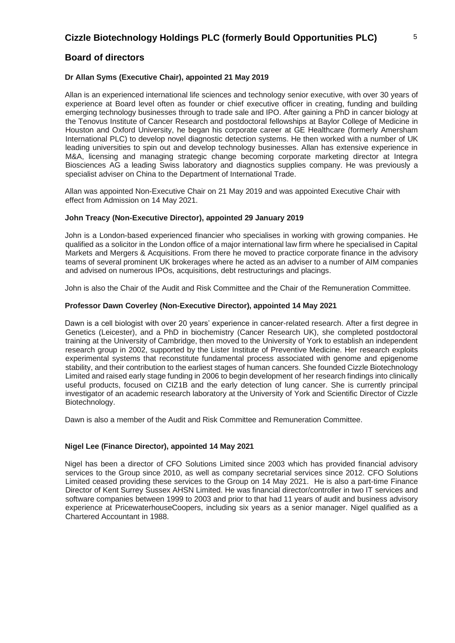### **Dr Allan Syms (Executive Chair), appointed 21 May 2019**

Allan is an experienced international life sciences and technology senior executive, with over 30 years of experience at Board level often as founder or chief executive officer in creating, funding and building emerging technology businesses through to trade sale and IPO. After gaining a PhD in cancer biology at the Tenovus Institute of Cancer Research and postdoctoral fellowships at Baylor College of Medicine in Houston and Oxford University, he began his corporate career at GE Healthcare (formerly Amersham International PLC) to develop novel diagnostic detection systems. He then worked with a number of UK leading universities to spin out and develop technology businesses. Allan has extensive experience in M&A, licensing and managing strategic change becoming corporate marketing director at Integra Biosciences AG a leading Swiss laboratory and diagnostics supplies company. He was previously a specialist adviser on China to the Department of International Trade.

Allan was appointed Non-Executive Chair on 21 May 2019 and was appointed Executive Chair with effect from Admission on 14 May 2021.

### **John Treacy (Non-Executive Director), appointed 29 January 2019**

John is a London-based experienced financier who specialises in working with growing companies. He qualified as a solicitor in the London office of a major international law firm where he specialised in Capital Markets and Mergers & Acquisitions. From there he moved to practice corporate finance in the advisory teams of several prominent UK brokerages where he acted as an adviser to a number of AIM companies and advised on numerous IPOs, acquisitions, debt restructurings and placings.

John is also the Chair of the Audit and Risk Committee and the Chair of the Remuneration Committee.

### **Professor Dawn Coverley (Non-Executive Director), appointed 14 May 2021**

Dawn is a cell biologist with over 20 years' experience in cancer-related research. After a first degree in Genetics (Leicester), and a PhD in biochemistry (Cancer Research UK), she completed postdoctoral training at the University of Cambridge, then moved to the University of York to establish an independent research group in 2002, supported by the Lister Institute of Preventive Medicine. Her research exploits experimental systems that reconstitute fundamental process associated with genome and epigenome stability, and their contribution to the earliest stages of human cancers. She founded Cizzle Biotechnology Limited and raised early stage funding in 2006 to begin development of her research findings into clinically useful products, focused on CIZ1B and the early detection of lung cancer. She is currently principal investigator of an academic research laboratory at the University of York and Scientific Director of Cizzle Biotechnology.

Dawn is also a member of the Audit and Risk Committee and Remuneration Committee.

### **Nigel Lee (Finance Director), appointed 14 May 2021**

Nigel has been a director of CFO Solutions Limited since 2003 which has provided financial advisory services to the Group since 2010, as well as company secretarial services since 2012. CFO Solutions Limited ceased providing these services to the Group on 14 May 2021. He is also a part-time Finance Director of Kent Surrey Sussex AHSN Limited. He was financial director/controller in two IT services and software companies between 1999 to 2003 and prior to that had 11 years of audit and business advisory experience at PricewaterhouseCoopers, including six years as a senior manager. Nigel qualified as a Chartered Accountant in 1988.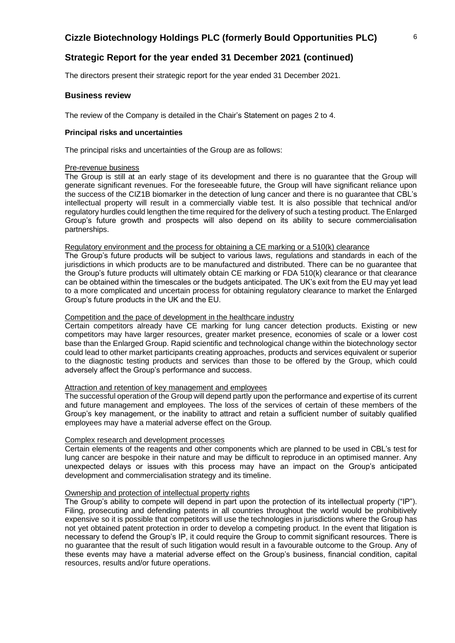The directors present their strategic report for the year ended 31 December 2021.

### **Business review**

The review of the Company is detailed in the Chair's Statement on pages 2 to 4.

#### **Principal risks and uncertainties**

The principal risks and uncertainties of the Group are as follows:

#### Pre-revenue business

The Group is still at an early stage of its development and there is no guarantee that the Group will generate significant revenues. For the foreseeable future, the Group will have significant reliance upon the success of the CIZ1B biomarker in the detection of lung cancer and there is no guarantee that CBL's intellectual property will result in a commercially viable test. It is also possible that technical and/or regulatory hurdles could lengthen the time required for the delivery of such a testing product. The Enlarged Group's future growth and prospects will also depend on its ability to secure commercialisation partnerships.

### Regulatory environment and the process for obtaining a CE marking or a 510(k) clearance

The Group's future products will be subject to various laws, regulations and standards in each of the jurisdictions in which products are to be manufactured and distributed. There can be no guarantee that the Group's future products will ultimately obtain CE marking or FDA 510(k) clearance or that clearance can be obtained within the timescales or the budgets anticipated. The UK's exit from the EU may yet lead to a more complicated and uncertain process for obtaining regulatory clearance to market the Enlarged Group's future products in the UK and the EU.

#### Competition and the pace of development in the healthcare industry

Certain competitors already have CE marking for lung cancer detection products. Existing or new competitors may have larger resources, greater market presence, economies of scale or a lower cost base than the Enlarged Group. Rapid scientific and technological change within the biotechnology sector could lead to other market participants creating approaches, products and services equivalent or superior to the diagnostic testing products and services than those to be offered by the Group, which could adversely affect the Group's performance and success.

### Attraction and retention of key management and employees

The successful operation of the Group will depend partly upon the performance and expertise of its current and future management and employees. The loss of the services of certain of these members of the Group's key management, or the inability to attract and retain a sufficient number of suitably qualified employees may have a material adverse effect on the Group.

#### Complex research and development processes

Certain elements of the reagents and other components which are planned to be used in CBL's test for lung cancer are bespoke in their nature and may be difficult to reproduce in an optimised manner. Any unexpected delays or issues with this process may have an impact on the Group's anticipated development and commercialisation strategy and its timeline.

#### Ownership and protection of intellectual property rights

The Group's ability to compete will depend in part upon the protection of its intellectual property ("IP"). Filing, prosecuting and defending patents in all countries throughout the world would be prohibitively expensive so it is possible that competitors will use the technologies in jurisdictions where the Group has not yet obtained patent protection in order to develop a competing product. In the event that litigation is necessary to defend the Group's IP, it could require the Group to commit significant resources. There is no guarantee that the result of such litigation would result in a favourable outcome to the Group. Any of these events may have a material adverse effect on the Group's business, financial condition, capital resources, results and/or future operations.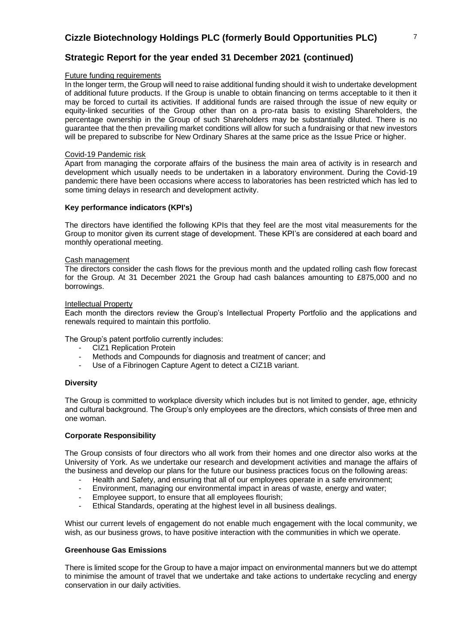# **Strategic Report for the year ended 31 December 2021 (continued)**

#### Future funding requirements

In the longer term, the Group will need to raise additional funding should it wish to undertake development of additional future products. If the Group is unable to obtain financing on terms acceptable to it then it may be forced to curtail its activities. If additional funds are raised through the issue of new equity or equity-linked securities of the Group other than on a pro-rata basis to existing Shareholders, the percentage ownership in the Group of such Shareholders may be substantially diluted. There is no guarantee that the then prevailing market conditions will allow for such a fundraising or that new investors will be prepared to subscribe for New Ordinary Shares at the same price as the Issue Price or higher.

#### Covid-19 Pandemic risk

Apart from managing the corporate affairs of the business the main area of activity is in research and development which usually needs to be undertaken in a laboratory environment. During the Covid-19 pandemic there have been occasions where access to laboratories has been restricted which has led to some timing delays in research and development activity.

### **Key performance indicators (KPI's)**

The directors have identified the following KPIs that they feel are the most vital measurements for the Group to monitor given its current stage of development. These KPI's are considered at each board and monthly operational meeting.

#### Cash management

The directors consider the cash flows for the previous month and the updated rolling cash flow forecast for the Group. At 31 December 2021 the Group had cash balances amounting to £875,000 and no borrowings.

#### Intellectual Property

Each month the directors review the Group's Intellectual Property Portfolio and the applications and renewals required to maintain this portfolio.

The Group's patent portfolio currently includes:

- CIZ1 Replication Protein
- Methods and Compounds for diagnosis and treatment of cancer; and
- Use of a Fibrinogen Capture Agent to detect a CIZ1B variant.

### **Diversity**

The Group is committed to workplace diversity which includes but is not limited to gender, age, ethnicity and cultural background. The Group's only employees are the directors, which consists of three men and one woman.

### **Corporate Responsibility**

The Group consists of four directors who all work from their homes and one director also works at the University of York. As we undertake our research and development activities and manage the affairs of the business and develop our plans for the future our business practices focus on the following areas:

- Health and Safety, and ensuring that all of our employees operate in a safe environment;
- Environment, managing our environmental impact in areas of waste, energy and water;
- Employee support, to ensure that all employees flourish;
- Ethical Standards, operating at the highest level in all business dealings.

Whist our current levels of engagement do not enable much engagement with the local community, we wish, as our business grows, to have positive interaction with the communities in which we operate.

### **Greenhouse Gas Emissions**

There is limited scope for the Group to have a major impact on environmental manners but we do attempt to minimise the amount of travel that we undertake and take actions to undertake recycling and energy conservation in our daily activities.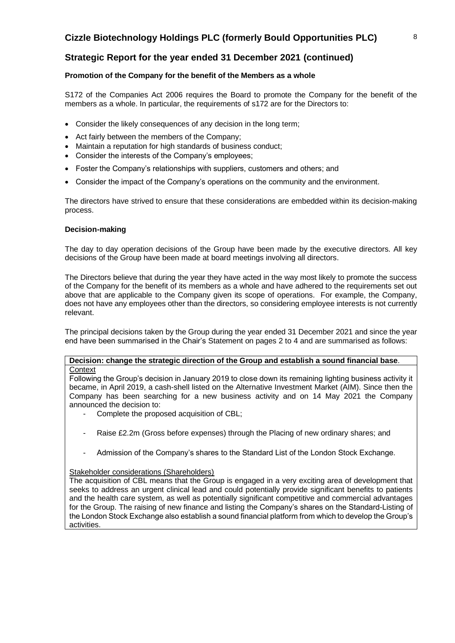### **Promotion of the Company for the benefit of the Members as a whole**

S172 of the Companies Act 2006 requires the Board to promote the Company for the benefit of the members as a whole. In particular, the requirements of s172 are for the Directors to:

- Consider the likely consequences of any decision in the long term:
- Act fairly between the members of the Company;
- Maintain a reputation for high standards of business conduct;
- Consider the interests of the Company's employees;
- Foster the Company's relationships with suppliers, customers and others; and
- Consider the impact of the Company's operations on the community and the environment.

The directors have strived to ensure that these considerations are embedded within its decision-making process.

### **Decision-making**

The day to day operation decisions of the Group have been made by the executive directors. All key decisions of the Group have been made at board meetings involving all directors.

The Directors believe that during the year they have acted in the way most likely to promote the success of the Company for the benefit of its members as a whole and have adhered to the requirements set out above that are applicable to the Company given its scope of operations. For example, the Company, does not have any employees other than the directors, so considering employee interests is not currently relevant.

The principal decisions taken by the Group during the year ended 31 December 2021 and since the year end have been summarised in the Chair's Statement on pages 2 to 4 and are summarised as follows:

### **Decision: change the strategic direction of the Group and establish a sound financial base**. **Context**

Following the Group's decision in January 2019 to close down its remaining lighting business activity it became, in April 2019, a cash-shell listed on the Alternative Investment Market (AIM). Since then the Company has been searching for a new business activity and on 14 May 2021 the Company announced the decision to:

- Complete the proposed acquisition of CBL;
- Raise £2.2m (Gross before expenses) through the Placing of new ordinary shares; and
- Admission of the Company's shares to the Standard List of the London Stock Exchange.

### Stakeholder considerations (Shareholders)

The acquisition of CBL means that the Group is engaged in a very exciting area of development that seeks to address an urgent clinical lead and could potentially provide significant benefits to patients and the health care system, as well as potentially significant competitive and commercial advantages for the Group. The raising of new finance and listing the Company's shares on the Standard-Listing of the London Stock Exchange also establish a sound financial platform from which to develop the Group's activities.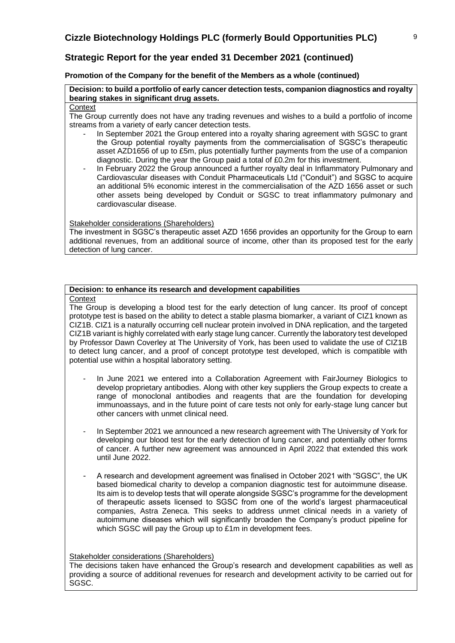### **Promotion of the Company for the benefit of the Members as a whole (continued)**

**Decision: to build a portfolio of early cancer detection tests, companion diagnostics and royalty bearing stakes in significant drug assets.**

### **Context**

The Group currently does not have any trading revenues and wishes to a build a portfolio of income streams from a variety of early cancer detection tests.

- In September 2021 the Group entered into a royalty sharing agreement with SGSC to grant the Group potential royalty payments from the commercialisation of SGSC's therapeutic asset AZD1656 of up to £5m, plus potentially further payments from the use of a companion diagnostic. During the year the Group paid a total of £0.2m for this investment.
- In February 2022 the Group announced a further royalty deal in Inflammatory Pulmonary and Cardiovascular diseases with Conduit Pharmaceuticals Ltd ("Conduit") and SGSC to acquire an additional 5% economic interest in the commercialisation of the AZD 1656 asset or such other assets being developed by Conduit or SGSC to treat inflammatory pulmonary and cardiovascular disease.

### Stakeholder considerations (Shareholders)

The investment in SGSC's therapeutic asset AZD 1656 provides an opportunity for the Group to earn additional revenues, from an additional source of income, other than its proposed test for the early detection of lung cancer.

### **Decision: to enhance its research and development capabilities**

#### **Context**

The Group is developing a blood test for the early detection of lung cancer. Its proof of concept prototype test is based on the ability to detect a stable plasma biomarker, a variant of CIZ1 known as CIZ1B. CIZ1 is a naturally occurring cell nuclear protein involved in DNA replication, and the targeted CIZ1B variant is highly correlated with early stage lung cancer. Currently the laboratory test developed by Professor Dawn Coverley at The University of York, has been used to validate the use of CIZ1B to detect lung cancer, and a proof of concept prototype test developed, which is compatible with potential use within a hospital laboratory setting.

- In June 2021 we entered into a Collaboration Agreement with FairJourney Biologics to develop proprietary antibodies. Along with other key suppliers the Group expects to create a range of monoclonal antibodies and reagents that are the foundation for developing immunoassays, and in the future point of care tests not only for early-stage lung cancer but other cancers with unmet clinical need.
- In September 2021 we announced a new research agreement with The University of York for developing our blood test for the early detection of lung cancer, and potentially other forms of cancer. A further new agreement was announced in April 2022 that extended this work until June 2022.
- A research and development agreement was finalised in October 2021 with "SGSC", the UK based biomedical charity to develop a companion diagnostic test for autoimmune disease. Its aim is to develop tests that will operate alongside SGSC's programme for the development of therapeutic assets licensed to SGSC from one of the world's largest pharmaceutical companies, Astra Zeneca. This seeks to address unmet clinical needs in a variety of autoimmune diseases which will significantly broaden the Company's product pipeline for which SGSC will pay the Group up to £1m in development fees.

### Stakeholder considerations (Shareholders)

The decisions taken have enhanced the Group's research and development capabilities as well as providing a source of additional revenues for research and development activity to be carried out for SGSC.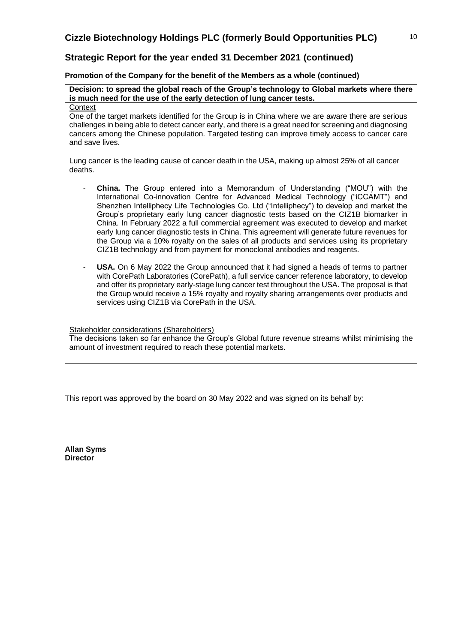**Promotion of the Company for the benefit of the Members as a whole (continued)**

**Decision: to spread the global reach of the Group's technology to Global markets where there is much need for the use of the early detection of lung cancer tests. Context** 

One of the target markets identified for the Group is in China where we are aware there are serious challenges in being able to detect cancer early, and there is a great need for screening and diagnosing cancers among the Chinese population. Targeted testing can improve timely access to cancer care and save lives.

Lung cancer is the leading cause of cancer death in the USA, making up almost 25% of all cancer deaths.

- **China.** The Group entered into a Memorandum of Understanding ("MOU") with the International Co-innovation Centre for Advanced Medical Technology ("iCCAMT") and Shenzhen Intelliphecy Life Technologies Co. Ltd ("Intelliphecy") to develop and market the Group's proprietary early lung cancer diagnostic tests based on the CIZ1B biomarker in China. In February 2022 a full commercial agreement was executed to develop and market early lung cancer diagnostic tests in China. This agreement will generate future revenues for the Group via a 10% royalty on the sales of all products and services using its proprietary CIZ1B technology and from payment for monoclonal antibodies and reagents.
- **USA.** On 6 May 2022 the Group announced that it had signed a heads of terms to partner with CorePath Laboratories (CorePath), a full service cancer reference laboratory, to develop and offer its proprietary early-stage lung cancer test throughout the USA. The proposal is that the Group would receive a 15% royalty and royalty sharing arrangements over products and services using CIZ1B via CorePath in the USA.

Stakeholder considerations (Shareholders)

The decisions taken so far enhance the Group's Global future revenue streams whilst minimising the amount of investment required to reach these potential markets.

This report was approved by the board on 30 May 2022 and was signed on its behalf by:

**Allan Syms Director**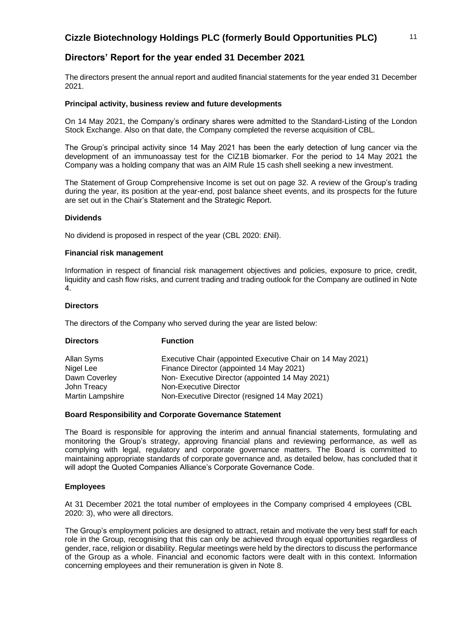# **Directors' Report for the year ended 31 December 2021**

The directors present the annual report and audited financial statements for the year ended 31 December 2021.

### **Principal activity, business review and future developments**

On 14 May 2021, the Company's ordinary shares were admitted to the Standard-Listing of the London Stock Exchange. Also on that date, the Company completed the reverse acquisition of CBL.

The Group's principal activity since 14 May 2021 has been the early detection of lung cancer via the development of an immunoassay test for the CIZ1B biomarker. For the period to 14 May 2021 the Company was a holding company that was an AIM Rule 15 cash shell seeking a new investment.

The Statement of Group Comprehensive Income is set out on page 32. A review of the Group's trading during the year, its position at the year-end, post balance sheet events, and its prospects for the future are set out in the Chair's Statement and the Strategic Report.

### **Dividends**

No dividend is proposed in respect of the year (CBL 2020: £Nil).

### **Financial risk management**

Information in respect of financial risk management objectives and policies, exposure to price, credit, liquidity and cash flow risks, and current trading and trading outlook for the Company are outlined in Note 4.

### **Directors**

The directors of the Company who served during the year are listed below:

| <b>Directors</b> | <b>Function</b>                                            |
|------------------|------------------------------------------------------------|
| Allan Syms       | Executive Chair (appointed Executive Chair on 14 May 2021) |
| Nigel Lee        | Finance Director (appointed 14 May 2021)                   |
| Dawn Coverley    | Non-Executive Director (appointed 14 May 2021)             |
| John Treacy      | Non-Executive Director                                     |
| Martin Lampshire | Non-Executive Director (resigned 14 May 2021)              |

### **Board Responsibility and Corporate Governance Statement**

The Board is responsible for approving the interim and annual financial statements, formulating and monitoring the Group's strategy, approving financial plans and reviewing performance, as well as complying with legal, regulatory and corporate governance matters. The Board is committed to maintaining appropriate standards of corporate governance and, as detailed below, has concluded that it will adopt the Quoted Companies Alliance's Corporate Governance Code.

### **Employees**

At 31 December 2021 the total number of employees in the Company comprised 4 employees (CBL 2020: 3), who were all directors.

The Group's employment policies are designed to attract, retain and motivate the very best staff for each role in the Group, recognising that this can only be achieved through equal opportunities regardless of gender, race, religion or disability. Regular meetings were held by the directors to discuss the performance of the Group as a whole. Financial and economic factors were dealt with in this context. Information concerning employees and their remuneration is given in Note 8.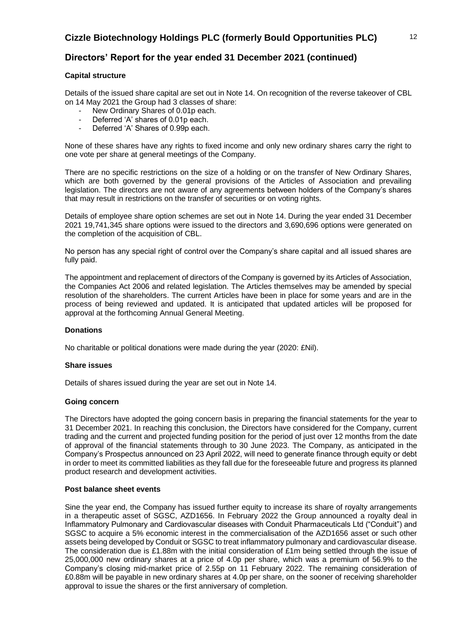# **Directors' Report for the year ended 31 December 2021 (continued)**

### **Capital structure**

Details of the issued share capital are set out in Note 14. On recognition of the reverse takeover of CBL on 14 May 2021 the Group had 3 classes of share:

- New Ordinary Shares of 0.01p each.
- Deferred 'A' shares of 0.01p each.
- Deferred 'A' Shares of 0.99p each.

None of these shares have any rights to fixed income and only new ordinary shares carry the right to one vote per share at general meetings of the Company.

There are no specific restrictions on the size of a holding or on the transfer of New Ordinary Shares, which are both governed by the general provisions of the Articles of Association and prevailing legislation. The directors are not aware of any agreements between holders of the Company's shares that may result in restrictions on the transfer of securities or on voting rights.

Details of employee share option schemes are set out in Note 14. During the year ended 31 December 2021 19,741,345 share options were issued to the directors and 3,690,696 options were generated on the completion of the acquisition of CBL.

No person has any special right of control over the Company's share capital and all issued shares are fully paid.

The appointment and replacement of directors of the Company is governed by its Articles of Association, the Companies Act 2006 and related legislation. The Articles themselves may be amended by special resolution of the shareholders. The current Articles have been in place for some years and are in the process of being reviewed and updated. It is anticipated that updated articles will be proposed for approval at the forthcoming Annual General Meeting.

### **Donations**

No charitable or political donations were made during the year (2020: £Nil).

### **Share issues**

Details of shares issued during the year are set out in Note 14.

### **Going concern**

The Directors have adopted the going concern basis in preparing the financial statements for the year to 31 December 2021. In reaching this conclusion, the Directors have considered for the Company, current trading and the current and projected funding position for the period of just over 12 months from the date of approval of the financial statements through to 30 June 2023. The Company, as anticipated in the Company's Prospectus announced on 23 April 2022, will need to generate finance through equity or debt in order to meet its committed liabilities as they fall due for the foreseeable future and progress its planned product research and development activities.

### **Post balance sheet events**

Sine the year end, the Company has issued further equity to increase its share of royalty arrangements in a therapeutic asset of SGSC, AZD1656. In February 2022 the Group announced a royalty deal in Inflammatory Pulmonary and Cardiovascular diseases with Conduit Pharmaceuticals Ltd ("Conduit") and SGSC to acquire a 5% economic interest in the commercialisation of the AZD1656 asset or such other assets being developed by Conduit or SGSC to treat inflammatory pulmonary and cardiovascular disease. The consideration due is £1.88m with the initial consideration of £1m being settled through the issue of 25,000,000 new ordinary shares at a price of 4.0p per share, which was a premium of 56.9% to the Company's closing mid-market price of 2.55p on 11 February 2022. The remaining consideration of £0.88m will be payable in new ordinary shares at 4.0p per share, on the sooner of receiving shareholder approval to issue the shares or the first anniversary of completion.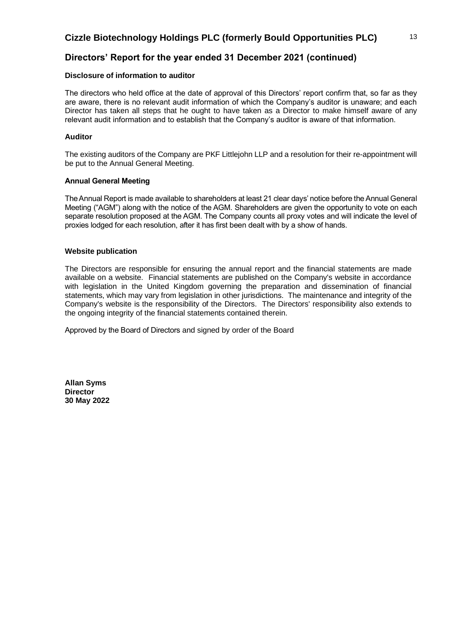# **Directors' Report for the year ended 31 December 2021 (continued)**

### **Disclosure of information to auditor**

The directors who held office at the date of approval of this Directors' report confirm that, so far as they are aware, there is no relevant audit information of which the Company's auditor is unaware; and each Director has taken all steps that he ought to have taken as a Director to make himself aware of any relevant audit information and to establish that the Company's auditor is aware of that information.

### **Auditor**

The existing auditors of the Company are PKF Littlejohn LLP and a resolution for their re-appointment will be put to the Annual General Meeting.

### **Annual General Meeting**

The Annual Report is made available to shareholders at least 21 clear days' notice before the Annual General Meeting ("AGM") along with the notice of the AGM. Shareholders are given the opportunity to vote on each separate resolution proposed at the AGM. The Company counts all proxy votes and will indicate the level of proxies lodged for each resolution, after it has first been dealt with by a show of hands.

### **Website publication**

The Directors are responsible for ensuring the annual report and the financial statements are made available on a website. Financial statements are published on the Company's website in accordance with legislation in the United Kingdom governing the preparation and dissemination of financial statements, which may vary from legislation in other jurisdictions. The maintenance and integrity of the Company's website is the responsibility of the Directors. The Directors' responsibility also extends to the ongoing integrity of the financial statements contained therein.

Approved by the Board of Directors and signed by order of the Board

**Allan Syms Director 30 May 2022**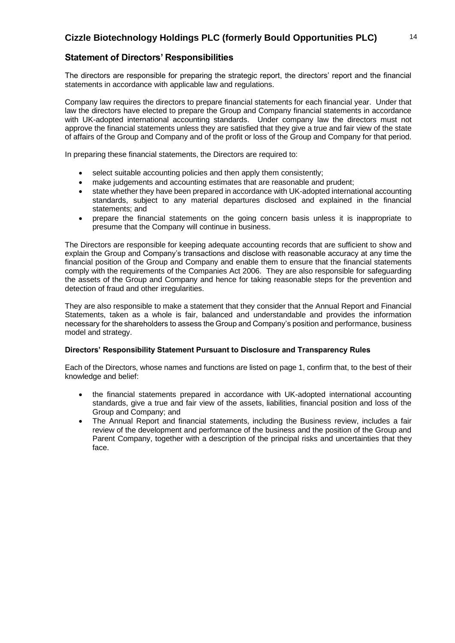# **Statement of Directors' Responsibilities**

The directors are responsible for preparing the strategic report, the directors' report and the financial statements in accordance with applicable law and regulations.

Company law requires the directors to prepare financial statements for each financial year. Under that law the directors have elected to prepare the Group and Company financial statements in accordance with UK-adopted international accounting standards. Under company law the directors must not approve the financial statements unless they are satisfied that they give a true and fair view of the state of affairs of the Group and Company and of the profit or loss of the Group and Company for that period.

In preparing these financial statements, the Directors are required to:

- select suitable accounting policies and then apply them consistently;
- make judgements and accounting estimates that are reasonable and prudent;
- state whether they have been prepared in accordance with UK-adopted international accounting standards, subject to any material departures disclosed and explained in the financial statements; and
- prepare the financial statements on the going concern basis unless it is inappropriate to presume that the Company will continue in business.

The Directors are responsible for keeping adequate accounting records that are sufficient to show and explain the Group and Company's transactions and disclose with reasonable accuracy at any time the financial position of the Group and Company and enable them to ensure that the financial statements comply with the requirements of the Companies Act 2006. They are also responsible for safeguarding the assets of the Group and Company and hence for taking reasonable steps for the prevention and detection of fraud and other irregularities.

They are also responsible to make a statement that they consider that the Annual Report and Financial Statements, taken as a whole is fair, balanced and understandable and provides the information necessary for the shareholders to assess the Group and Company's position and performance, business model and strategy.

### **Directors' Responsibility Statement Pursuant to Disclosure and Transparency Rules**

Each of the Directors, whose names and functions are listed on page 1, confirm that, to the best of their knowledge and belief:

- the financial statements prepared in accordance with UK-adopted international accounting standards, give a true and fair view of the assets, liabilities, financial position and loss of the Group and Company; and
- The Annual Report and financial statements, including the Business review, includes a fair review of the development and performance of the business and the position of the Group and Parent Company, together with a description of the principal risks and uncertainties that they face.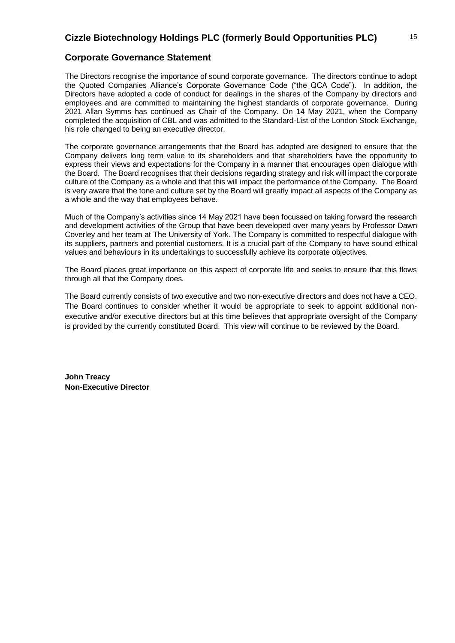### **Corporate Governance Statement**

The Directors recognise the importance of sound corporate governance. The directors continue to adopt the Quoted Companies Alliance's Corporate Governance Code ("the QCA Code"). In addition, the Directors have adopted a code of conduct for dealings in the shares of the Company by directors and employees and are committed to maintaining the highest standards of corporate governance. During 2021 Allan Symms has continued as Chair of the Company. On 14 May 2021, when the Company completed the acquisition of CBL and was admitted to the Standard-List of the London Stock Exchange, his role changed to being an executive director.

The corporate governance arrangements that the Board has adopted are designed to ensure that the Company delivers long term value to its shareholders and that shareholders have the opportunity to express their views and expectations for the Company in a manner that encourages open dialogue with the Board. The Board recognises that their decisions regarding strategy and risk will impact the corporate culture of the Company as a whole and that this will impact the performance of the Company. The Board is very aware that the tone and culture set by the Board will greatly impact all aspects of the Company as a whole and the way that employees behave.

Much of the Company's activities since 14 May 2021 have been focussed on taking forward the research and development activities of the Group that have been developed over many years by Professor Dawn Coverley and her team at The University of York. The Company is committed to respectful dialogue with its suppliers, partners and potential customers. It is a crucial part of the Company to have sound ethical values and behaviours in its undertakings to successfully achieve its corporate objectives.

The Board places great importance on this aspect of corporate life and seeks to ensure that this flows through all that the Company does.

The Board currently consists of two executive and two non-executive directors and does not have a CEO. The Board continues to consider whether it would be appropriate to seek to appoint additional nonexecutive and/or executive directors but at this time believes that appropriate oversight of the Company is provided by the currently constituted Board. This view will continue to be reviewed by the Board.

**John Treacy Non-Executive Director**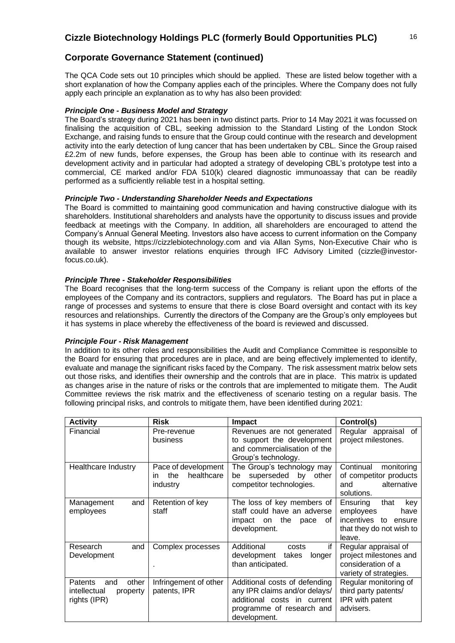# **Corporate Governance Statement (continued)**

The QCA Code sets out 10 principles which should be applied. These are listed below together with a short explanation of how the Company applies each of the principles. Where the Company does not fully apply each principle an explanation as to why has also been provided:

### *Principle One - Business Model and Strategy*

The Board's strategy during 2021 has been in two distinct parts. Prior to 14 May 2021 it was focussed on finalising the acquisition of CBL, seeking admission to the Standard Listing of the London Stock Exchange, and raising funds to ensure that the Group could continue with the research and development activity into the early detection of lung cancer that has been undertaken by CBL. Since the Group raised £2.2m of new funds, before expenses, the Group has been able to continue with its research and development activity and in particular had adopted a strategy of developing CBL's prototype test into a commercial, CE marked and/or FDA 510(k) cleared diagnostic immunoassay that can be readily performed as a sufficiently reliable test in a hospital setting.

### *Principle Two - Understanding Shareholder Needs and Expectations*

The Board is committed to maintaining good communication and having constructive dialogue with its shareholders. Institutional shareholders and analysts have the opportunity to discuss issues and provide feedback at meetings with the Company. In addition, all shareholders are encouraged to attend the Company's Annual General Meeting. Investors also have access to current information on the Company though its website, https://cizzlebiotechnology.com and via Allan Syms, Non-Executive Chair who is available to answer investor relations enquiries through IFC Advisory Limited (cizzle@investorfocus.co.uk).

### *Principle Three - Stakeholder Responsibilities*

The Board recognises that the long-term success of the Company is reliant upon the efforts of the employees of the Company and its contractors, suppliers and regulators. The Board has put in place a range of processes and systems to ensure that there is close Board oversight and contact with its key resources and relationships. Currently the directors of the Company are the Group's only employees but it has systems in place whereby the effectiveness of the board is reviewed and discussed.

### *Principle Four - Risk Management*

In addition to its other roles and responsibilities the Audit and Compliance Committee is responsible to the Board for ensuring that procedures are in place, and are being effectively implemented to identify, evaluate and manage the significant risks faced by the Company. The risk assessment matrix below sets out those risks, and identifies their ownership and the controls that are in place. This matrix is updated as changes arise in the nature of risks or the controls that are implemented to mitigate them. The Audit Committee reviews the risk matrix and the effectiveness of scenario testing on a regular basis. The following principal risks, and controls to mitigate them, have been identified during 2021:

| <b>Activity</b>                                                     | <b>Risk</b>                                                 | Impact                                                                                                                                     | Control(s)                                                                                                    |
|---------------------------------------------------------------------|-------------------------------------------------------------|--------------------------------------------------------------------------------------------------------------------------------------------|---------------------------------------------------------------------------------------------------------------|
| Financial                                                           | Pre-revenue<br>business                                     | Revenues are not generated<br>to support the development<br>and commercialisation of the<br>Group's technology.                            | Regular appraisal of<br>project milestones.                                                                   |
| Healthcare Industry                                                 | Pace of development<br>healthcare<br>the<br>in.<br>industry | The Group's technology may<br>superseded by<br>other<br>be<br>competitor technologies.                                                     | Continual<br>monitoring<br>of competitor products<br>alternative<br>and<br>solutions.                         |
| and<br>Management<br>employees                                      | Retention of key<br>staff                                   | The loss of key members of<br>staff could have an adverse<br>the<br>impact<br>on<br>οf<br>pace<br>development.                             | Ensuring<br>that<br>key<br>employees<br>have<br>incentives to<br>ensure<br>that they do not wish to<br>leave. |
| Research<br>and<br>Development                                      | Complex processes                                           | Additional<br>if<br>costs<br>development<br>takes<br>longer<br>than anticipated.                                                           | Regular appraisal of<br>project milestones and<br>consideration of a<br>variety of strategies.                |
| other<br>Patents<br>and<br>intellectual<br>property<br>rights (IPR) | Infringement of other<br>patents, IPR                       | Additional costs of defending<br>any IPR claims and/or delays/<br>additional costs in current<br>programme of research and<br>development. | Regular monitoring of<br>third party patents/<br>IPR with patent<br>advisers.                                 |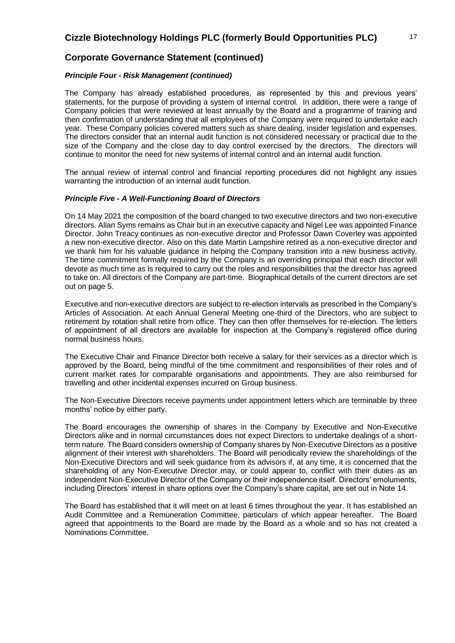### **Corporate Governance Statement (continued)**

### *Principle Four - Risk Management (continued)*

The Company has already established procedures, as represented by this and previous years' statements, for the purpose of providing a system of internal control. In addition, there were a range of Company policies that were reviewed at least annually by the Board and a programme of training and then confirmation of understanding that all employees of the Company were required to undertake each year. These Company policies covered matters such as share dealing, insider legislation and expenses. The directors consider that an internal audit function is not considered necessary or practical due to the size of the Company and the close day to day control exercised by the directors. The directors will continue to monitor the need for new systems of internal control and an internal audit function.

The annual review of internal control and financial reporting procedures did not highlight any issues warranting the introduction of an internal audit function.

### *Principle Five - A Well-Functioning Board of Directors*

On 14 May 2021 the composition of the board changed to two executive directors and two non-executive directors. Allan Syms remains as Chair but in an executive capacity and Nigel Lee was appointed Finance Director. John Treacy continues as non-executive director and Professor Dawn Coverley was appointed a new non-executive director. Also on this date Martin Lampshire retired as a non-executive director and we thank him for his valuable guidance in helping the Company transition into a new business activity. The time commitment formally required by the Company is an overriding principal that each director will devote as much time as is required to carry out the roles and responsibilities that the director has agreed to take on. All directors of the Company are part-time. Biographical details of the current directors are set out on page 5.

Executive and non-executive directors are subject to re-election intervals as prescribed in the Company's Articles of Association. At each Annual General Meeting one-third of the Directors, who are subject to retirement by rotation shall retire from office. They can then offer themselves for re-election. The letters of appointment of all directors are available for inspection at the Company's registered office during normal business hours.

The Executive Chair and Finance Director both receive a salary for their services as a director which is approved by the Board, being mindful of the time commitment and responsibilities of their roles and of current market rates for comparable organisations and appointments. They are also reimbursed for travelling and other incidental expenses incurred on Group business.

The Non-Executive Directors receive payments under appointment letters which are terminable by three months' notice by either party.

The Board encourages the ownership of shares in the Company by Executive and Non-Executive Directors alike and in normal circumstances does not expect Directors to undertake dealings of a shortterm nature. The Board considers ownership of Company shares by Non-Executive Directors as a positive alignment of their interest with shareholders. The Board will periodically review the shareholdings of the Non-Executive Directors and will seek guidance from its advisors if, at any time, it is concerned that the shareholding of any Non-Executive Director may, or could appear to, conflict with their duties as an independent Non-Executive Director of the Company or their independence itself. Directors' emoluments, including Directors' interest in share options over the Company's share capital, are set out in Note 14.

The Board has established that it will meet on at least 6 times throughout the year. It has established an Audit Committee and a Remuneration Committee, particulars of which appear hereafter. The Board agreed that appointments to the Board are made by the Board as a whole and so has not created a Nominations Committee.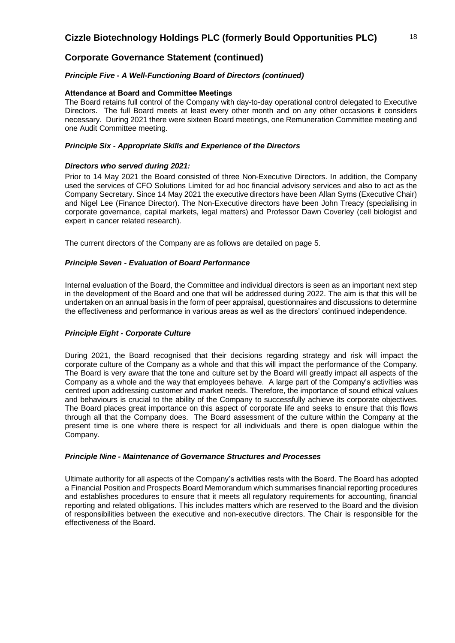# **Corporate Governance Statement (continued)**

### *Principle Five - A Well-Functioning Board of Directors (continued)*

### **Attendance at Board and Committee Meetings**

The Board retains full control of the Company with day-to-day operational control delegated to Executive Directors. The full Board meets at least every other month and on any other occasions it considers necessary. During 2021 there were sixteen Board meetings, one Remuneration Committee meeting and one Audit Committee meeting.

### *Principle Six - Appropriate Skills and Experience of the Directors*

### *Directors who served during 2021:*

Prior to 14 May 2021 the Board consisted of three Non-Executive Directors. In addition, the Company used the services of CFO Solutions Limited for ad hoc financial advisory services and also to act as the Company Secretary. Since 14 May 2021 the executive directors have been Allan Syms (Executive Chair) and Nigel Lee (Finance Director). The Non-Executive directors have been John Treacy (specialising in corporate governance, capital markets, legal matters) and Professor Dawn Coverley (cell biologist and expert in cancer related research).

The current directors of the Company are as follows are detailed on page 5.

### *Principle Seven - Evaluation of Board Performance*

Internal evaluation of the Board, the Committee and individual directors is seen as an important next step in the development of the Board and one that will be addressed during 2022. The aim is that this will be undertaken on an annual basis in the form of peer appraisal, questionnaires and discussions to determine the effectiveness and performance in various areas as well as the directors' continued independence.

### *Principle Eight - Corporate Culture*

During 2021, the Board recognised that their decisions regarding strategy and risk will impact the corporate culture of the Company as a whole and that this will impact the performance of the Company. The Board is very aware that the tone and culture set by the Board will greatly impact all aspects of the Company as a whole and the way that employees behave. A large part of the Company's activities was centred upon addressing customer and market needs. Therefore, the importance of sound ethical values and behaviours is crucial to the ability of the Company to successfully achieve its corporate objectives. The Board places great importance on this aspect of corporate life and seeks to ensure that this flows through all that the Company does. The Board assessment of the culture within the Company at the present time is one where there is respect for all individuals and there is open dialogue within the Company.

### *Principle Nine - Maintenance of Governance Structures and Processes*

Ultimate authority for all aspects of the Company's activities rests with the Board. The Board has adopted a Financial Position and Prospects Board Memorandum which summarises financial reporting procedures and establishes procedures to ensure that it meets all regulatory requirements for accounting, financial reporting and related obligations. This includes matters which are reserved to the Board and the division of responsibilities between the executive and non-executive directors. The Chair is responsible for the effectiveness of the Board.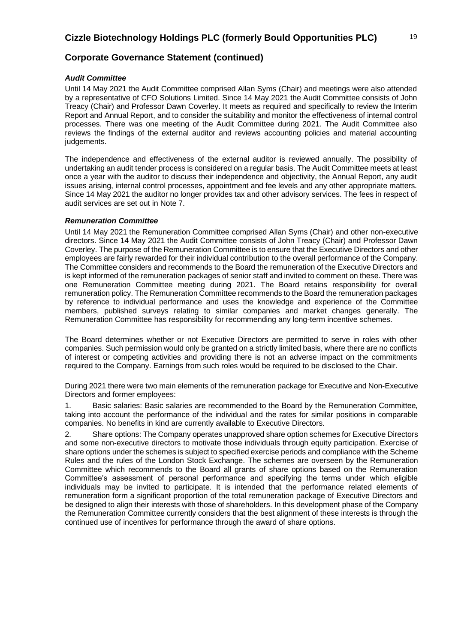### *Audit Committee*

Until 14 May 2021 the Audit Committee comprised Allan Syms (Chair) and meetings were also attended by a representative of CFO Solutions Limited. Since 14 May 2021 the Audit Committee consists of John Treacy (Chair) and Professor Dawn Coverley. It meets as required and specifically to review the Interim Report and Annual Report, and to consider the suitability and monitor the effectiveness of internal control processes. There was one meeting of the Audit Committee during 2021. The Audit Committee also reviews the findings of the external auditor and reviews accounting policies and material accounting judgements.

The independence and effectiveness of the external auditor is reviewed annually. The possibility of undertaking an audit tender process is considered on a regular basis. The Audit Committee meets at least once a year with the auditor to discuss their independence and objectivity, the Annual Report, any audit issues arising, internal control processes, appointment and fee levels and any other appropriate matters. Since 14 May 2021 the auditor no longer provides tax and other advisory services. The fees in respect of audit services are set out in Note 7.

### *Remuneration Committee*

Until 14 May 2021 the Remuneration Committee comprised Allan Syms (Chair) and other non-executive directors. Since 14 May 2021 the Audit Committee consists of John Treacy (Chair) and Professor Dawn Coverley. The purpose of the Remuneration Committee is to ensure that the Executive Directors and other employees are fairly rewarded for their individual contribution to the overall performance of the Company. The Committee considers and recommends to the Board the remuneration of the Executive Directors and is kept informed of the remuneration packages of senior staff and invited to comment on these. There was one Remuneration Committee meeting during 2021. The Board retains responsibility for overall remuneration policy. The Remuneration Committee recommends to the Board the remuneration packages by reference to individual performance and uses the knowledge and experience of the Committee members, published surveys relating to similar companies and market changes generally. The Remuneration Committee has responsibility for recommending any long-term incentive schemes.

The Board determines whether or not Executive Directors are permitted to serve in roles with other companies. Such permission would only be granted on a strictly limited basis, where there are no conflicts of interest or competing activities and providing there is not an adverse impact on the commitments required to the Company. Earnings from such roles would be required to be disclosed to the Chair.

During 2021 there were two main elements of the remuneration package for Executive and Non-Executive Directors and former employees:

1. Basic salaries: Basic salaries are recommended to the Board by the Remuneration Committee, taking into account the performance of the individual and the rates for similar positions in comparable companies. No benefits in kind are currently available to Executive Directors.

2. Share options: The Company operates unapproved share option schemes for Executive Directors and some non-executive directors to motivate those individuals through equity participation. Exercise of share options under the schemes is subject to specified exercise periods and compliance with the Scheme Rules and the rules of the London Stock Exchange. The schemes are overseen by the Remuneration Committee which recommends to the Board all grants of share options based on the Remuneration Committee's assessment of personal performance and specifying the terms under which eligible individuals may be invited to participate. It is intended that the performance related elements of remuneration form a significant proportion of the total remuneration package of Executive Directors and be designed to align their interests with those of shareholders. In this development phase of the Company the Remuneration Committee currently considers that the best alignment of these interests is through the continued use of incentives for performance through the award of share options.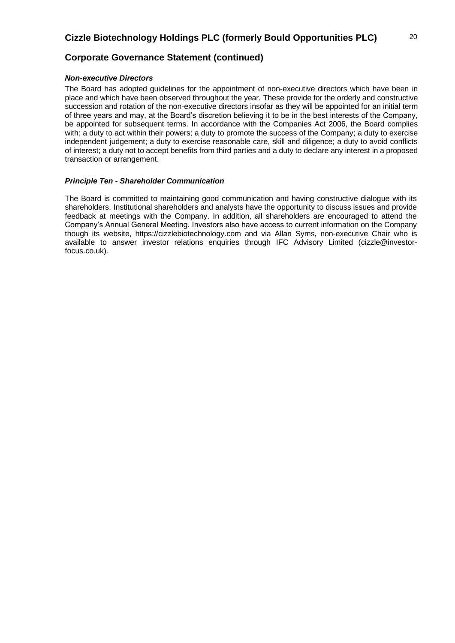# **Corporate Governance Statement (continued)**

### *Non-executive Directors*

The Board has adopted guidelines for the appointment of non-executive directors which have been in place and which have been observed throughout the year. These provide for the orderly and constructive succession and rotation of the non-executive directors insofar as they will be appointed for an initial term of three years and may, at the Board's discretion believing it to be in the best interests of the Company, be appointed for subsequent terms. In accordance with the Companies Act 2006, the Board complies with: a duty to act within their powers; a duty to promote the success of the Company; a duty to exercise independent judgement; a duty to exercise reasonable care, skill and diligence; a duty to avoid conflicts of interest; a duty not to accept benefits from third parties and a duty to declare any interest in a proposed transaction or arrangement.

### *Principle Ten - Shareholder Communication*

The Board is committed to maintaining good communication and having constructive dialogue with its shareholders. Institutional shareholders and analysts have the opportunity to discuss issues and provide feedback at meetings with the Company. In addition, all shareholders are encouraged to attend the Company's Annual General Meeting. Investors also have access to current information on the Company though its website, https://cizzlebiotechnology.com and via Allan Syms, non-executive Chair who is available to answer investor relations enquiries through IFC Advisory Limited (cizzle@investorfocus.co.uk).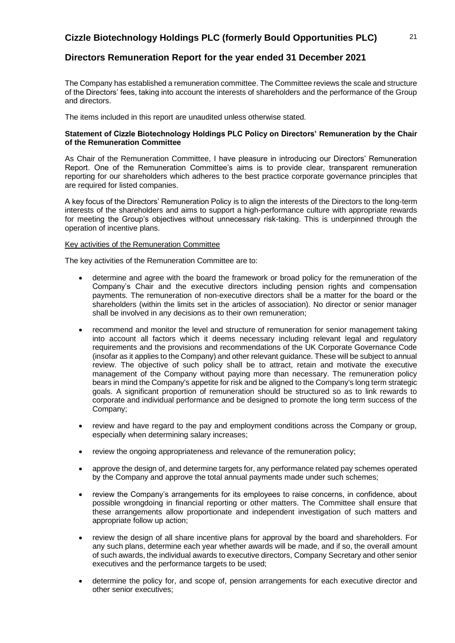## **Directors Remuneration Report for the year ended 31 December 2021**

The Company has established a remuneration committee. The Committee reviews the scale and structure of the Directors' fees, taking into account the interests of shareholders and the performance of the Group and directors.

The items included in this report are unaudited unless otherwise stated.

### **Statement of Cizzle Biotechnology Holdings PLC Policy on Directors' Remuneration by the Chair of the Remuneration Committee**

As Chair of the Remuneration Committee, I have pleasure in introducing our Directors' Remuneration Report. One of the Remuneration Committee's aims is to provide clear, transparent remuneration reporting for our shareholders which adheres to the best practice corporate governance principles that are required for listed companies.

A key focus of the Directors' Remuneration Policy is to align the interests of the Directors to the long-term interests of the shareholders and aims to support a high-performance culture with appropriate rewards for meeting the Group's objectives without unnecessary risk-taking. This is underpinned through the operation of incentive plans.

#### Key activities of the Remuneration Committee

The key activities of the Remuneration Committee are to:

- determine and agree with the board the framework or broad policy for the remuneration of the Company's Chair and the executive directors including pension rights and compensation payments. The remuneration of non-executive directors shall be a matter for the board or the shareholders (within the limits set in the articles of association). No director or senior manager shall be involved in any decisions as to their own remuneration;
- recommend and monitor the level and structure of remuneration for senior management taking into account all factors which it deems necessary including relevant legal and regulatory requirements and the provisions and recommendations of the UK Corporate Governance Code (insofar as it applies to the Company) and other relevant guidance. These will be subject to annual review. The objective of such policy shall be to attract, retain and motivate the executive management of the Company without paying more than necessary. The remuneration policy bears in mind the Company's appetite for risk and be aligned to the Company's long term strategic goals. A significant proportion of remuneration should be structured so as to link rewards to corporate and individual performance and be designed to promote the long term success of the Company;
- review and have regard to the pay and employment conditions across the Company or group, especially when determining salary increases;
- review the ongoing appropriateness and relevance of the remuneration policy;
- approve the design of, and determine targets for, any performance related pay schemes operated by the Company and approve the total annual payments made under such schemes;
- review the Company's arrangements for its employees to raise concerns, in confidence, about possible wrongdoing in financial reporting or other matters. The Committee shall ensure that these arrangements allow proportionate and independent investigation of such matters and appropriate follow up action;
- review the design of all share incentive plans for approval by the board and shareholders. For any such plans, determine each year whether awards will be made, and if so, the overall amount of such awards, the individual awards to executive directors, Company Secretary and other senior executives and the performance targets to be used;
- determine the policy for, and scope of, pension arrangements for each executive director and other senior executives;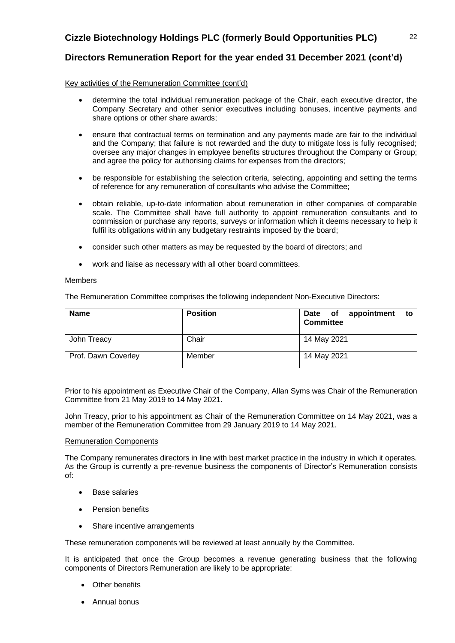# **Directors Remuneration Report for the year ended 31 December 2021 (cont'd)**

Key activities of the Remuneration Committee (cont'd)

- determine the total individual remuneration package of the Chair, each executive director, the Company Secretary and other senior executives including bonuses, incentive payments and share options or other share awards;
- ensure that contractual terms on termination and any payments made are fair to the individual and the Company; that failure is not rewarded and the duty to mitigate loss is fully recognised; oversee any major changes in employee benefits structures throughout the Company or Group; and agree the policy for authorising claims for expenses from the directors;
- be responsible for establishing the selection criteria, selecting, appointing and setting the terms of reference for any remuneration of consultants who advise the Committee;
- obtain reliable, up-to-date information about remuneration in other companies of comparable scale. The Committee shall have full authority to appoint remuneration consultants and to commission or purchase any reports, surveys or information which it deems necessary to help it fulfil its obligations within any budgetary restraints imposed by the board;
- consider such other matters as may be requested by the board of directors; and
- work and liaise as necessary with all other board committees.

### Members

The Remuneration Committee comprises the following independent Non-Executive Directors:

| <b>Name</b>         | <b>Position</b> | Date of appointment<br>to<br><b>Committee</b> |
|---------------------|-----------------|-----------------------------------------------|
| John Treacy         | Chair           | 14 May 2021                                   |
| Prof. Dawn Coverley | Member          | 14 May 2021                                   |

Prior to his appointment as Executive Chair of the Company, Allan Syms was Chair of the Remuneration Committee from 21 May 2019 to 14 May 2021.

John Treacy, prior to his appointment as Chair of the Remuneration Committee on 14 May 2021, was a member of the Remuneration Committee from 29 January 2019 to 14 May 2021.

### Remuneration Components

The Company remunerates directors in line with best market practice in the industry in which it operates. As the Group is currently a pre-revenue business the components of Director's Remuneration consists of:

- **Base salaries**
- Pension benefits
- Share incentive arrangements

These remuneration components will be reviewed at least annually by the Committee.

It is anticipated that once the Group becomes a revenue generating business that the following components of Directors Remuneration are likely to be appropriate:

- Other benefits
- Annual bonus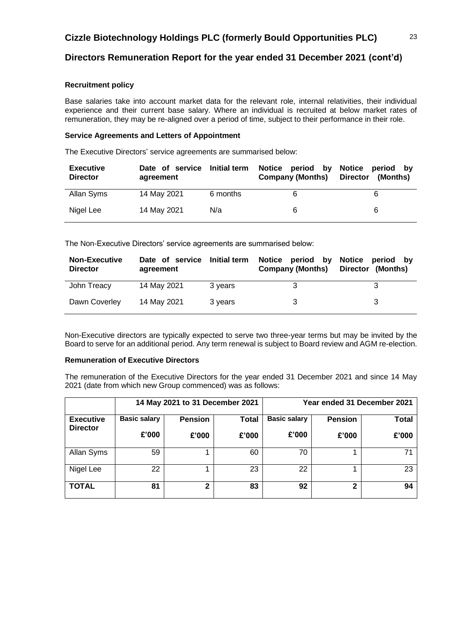# **Directors Remuneration Report for the year ended 31 December 2021 (cont'd)**

### **Recruitment policy**

Base salaries take into account market data for the relevant role, internal relativities, their individual experience and their current base salary. Where an individual is recruited at below market rates of remuneration, they may be re-aligned over a period of time, subject to their performance in their role.

### **Service Agreements and Letters of Appointment**

The Executive Directors' service agreements are summarised below:

| <b>Executive</b><br><b>Director</b> | Date of service<br>agreement | <b>Initial term</b> | Notice period by<br><b>Company (Months)</b> | Notice period by<br><b>Director</b><br>(Months) |
|-------------------------------------|------------------------------|---------------------|---------------------------------------------|-------------------------------------------------|
| Allan Syms                          | 14 May 2021                  | 6 months            |                                             | 6                                               |
| Nigel Lee                           | 14 May 2021                  | N/a                 | 6                                           | 6                                               |

The Non-Executive Directors' service agreements are summarised below:

| <b>Non-Executive</b><br><b>Director</b> | Date of service<br>agreement | <b>Initial term</b> | Notice period by<br><b>Company (Months)</b> | Notice<br>period by<br>Director (Months) |
|-----------------------------------------|------------------------------|---------------------|---------------------------------------------|------------------------------------------|
| John Treacy                             | 14 May 2021                  | 3 years             |                                             |                                          |
| Dawn Coverley                           | 14 May 2021                  | 3 years             |                                             | 3                                        |

Non-Executive directors are typically expected to serve two three-year terms but may be invited by the Board to serve for an additional period. Any term renewal is subject to Board review and AGM re-election.

### **Remuneration of Executive Directors**

The remuneration of the Executive Directors for the year ended 31 December 2021 and since 14 May 2021 (date from which new Group commenced) was as follows:

|                                     |                     | 14 May 2021 to 31 December 2021 |              | Year ended 31 December 2021 |                |              |
|-------------------------------------|---------------------|---------------------------------|--------------|-----------------------------|----------------|--------------|
| <b>Executive</b><br><b>Director</b> | <b>Basic salary</b> | <b>Pension</b>                  | <b>Total</b> | <b>Basic salary</b>         | <b>Pension</b> | <b>Total</b> |
|                                     | £'000               | £'000                           | £'000        | £'000                       | £'000          | £'000        |
| Allan Syms                          | 59                  |                                 | 60           | 70                          |                | 71           |
| Nigel Lee                           | 22                  |                                 | 23           | 22                          |                | 23           |
| <b>TOTAL</b>                        | 81                  | 2                               | 83           | 92                          | 2              | 94           |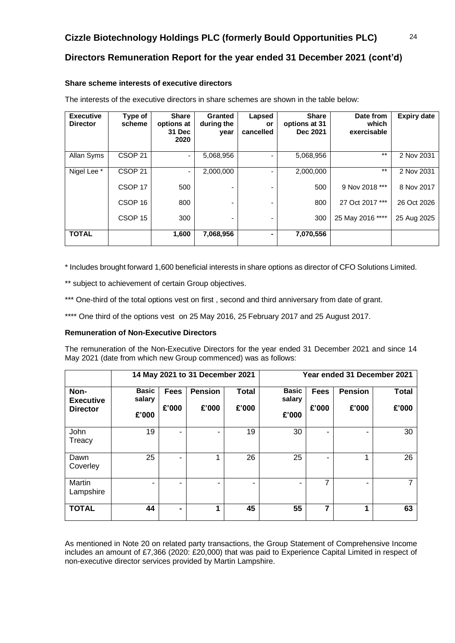# **Directors Remuneration Report for the year ended 31 December 2021 (cont'd)**

### **Share scheme interests of executive directors**

| <b>Executive</b><br><b>Director</b> | Type of<br>scheme  | Share<br>options at<br>31 Dec<br>2020 | <b>Granted</b><br>during the<br>year | Lapsed<br>or<br>cancelled | <b>Share</b><br>options at 31<br>Dec 2021 | Date from<br>which<br>exercisable | <b>Expiry date</b> |
|-------------------------------------|--------------------|---------------------------------------|--------------------------------------|---------------------------|-------------------------------------------|-----------------------------------|--------------------|
| Allan Syms                          | CSOP <sub>21</sub> |                                       | 5,068,956                            |                           | 5,068,956                                 | $***$                             | 2 Nov 2031         |
| Nigel Lee <sup>*</sup>              | CSOP <sub>21</sub> | -                                     | 2,000,000                            |                           | 2,000,000                                 | $***$                             | 2 Nov 2031         |
|                                     | CSOP <sub>17</sub> | 500                                   |                                      |                           | 500                                       | 9 Nov 2018 ***                    | 8 Nov 2017         |
|                                     | CSOP <sub>16</sub> | 800                                   |                                      |                           | 800                                       | 27 Oct 2017 ***                   | 26 Oct 2026        |
|                                     | CSOP <sub>15</sub> | 300                                   |                                      |                           | 300                                       | 25 May 2016 ****                  | 25 Aug 2025        |
| <b>TOTAL</b>                        |                    | 1,600                                 | 7,068,956                            |                           | 7,070,556                                 |                                   |                    |

The interests of the executive directors in share schemes are shown in the table below:

\* Includes brought forward 1,600 beneficial interests in share options as director of CFO Solutions Limited.

\*\* subject to achievement of certain Group objectives.

\*\*\* One-third of the total options vest on first, second and third anniversary from date of grant.

\*\*\*\* One third of the options vest on 25 May 2016, 25 February 2017 and 25 August 2017.

### **Remuneration of Non-Executive Directors**

The remuneration of the Non-Executive Directors for the year ended 31 December 2021 and since 14 May 2021 (date from which new Group commenced) was as follows:

|                          | 14 May 2021 to 31 December 2021 |                          |                |              |                        |             | Year ended 31 December 2021 |              |
|--------------------------|---------------------------------|--------------------------|----------------|--------------|------------------------|-------------|-----------------------------|--------------|
| Non-<br><b>Executive</b> | <b>Basic</b><br>salary          | <b>Fees</b>              | <b>Pension</b> | <b>Total</b> | <b>Basic</b><br>salary | <b>Fees</b> | <b>Pension</b>              | <b>Total</b> |
| <b>Director</b>          | £'000                           | £'000                    | £'000          | £'000        | £'000                  | £'000       | £'000                       | £'000        |
| John<br>Treacy           | 19                              | ٠                        |                | 19           | 30                     |             | ۰                           | 30           |
| Dawn<br>Coverley         | 25                              | ۰                        | 4              | 26           | 25                     |             | 1                           | 26           |
| Martin<br>Lampshire      | -                               | $\overline{\phantom{0}}$ |                | ۰            |                        | 7           | ۰                           | 7            |
| <b>TOTAL</b>             | 44                              | $\blacksquare$           | 1              | 45           | 55                     | 7           | 1                           | 63           |

As mentioned in Note 20 on related party transactions, the Group Statement of Comprehensive Income includes an amount of £7,366 (2020: £20,000) that was paid to Experience Capital Limited in respect of non-executive director services provided by Martin Lampshire.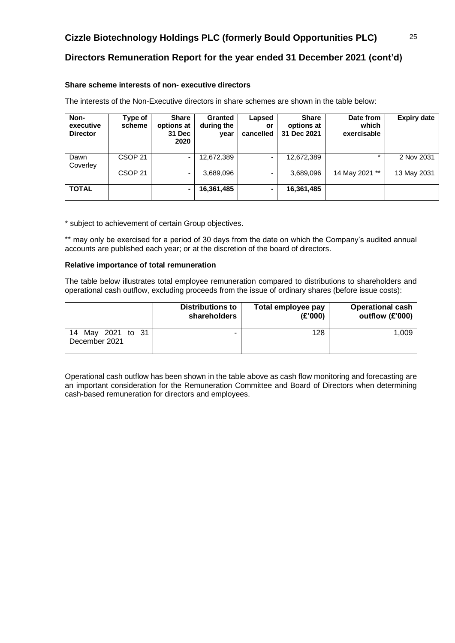# **Directors Remuneration Report for the year ended 31 December 2021 (cont'd)**

### **Share scheme interests of non- executive directors**

The interests of the Non-Executive directors in share schemes are shown in the table below:

| Non-<br>executive<br><b>Director</b> | Type of<br>scheme  | <b>Share</b><br>options at<br>31 Dec<br>2020 | Granted<br>during the<br>year | Lapsed<br>or<br>cancelled | <b>Share</b><br>options at<br>31 Dec 2021 | Date from<br>which<br>exercisable | <b>Expiry date</b> |
|--------------------------------------|--------------------|----------------------------------------------|-------------------------------|---------------------------|-------------------------------------------|-----------------------------------|--------------------|
| Dawn<br>Coverley                     | CSOP <sub>21</sub> |                                              | 12,672,389                    |                           | 12,672,389                                |                                   | 2 Nov 2031         |
|                                      | CSOP <sub>21</sub> |                                              | 3,689,096                     | $\blacksquare$            | 3,689,096                                 | 14 May 2021 **                    | 13 May 2031        |
| <b>TOTAL</b>                         |                    |                                              | 16,361,485                    |                           | 16,361,485                                |                                   |                    |

\* subject to achievement of certain Group objectives.

\*\* may only be exercised for a period of 30 days from the date on which the Company's audited annual accounts are published each year; or at the discretion of the board of directors.

### **Relative importance of total remuneration**

The table below illustrates total employee remuneration compared to distributions to shareholders and operational cash outflow, excluding proceeds from the issue of ordinary shares (before issue costs):

|                                       | <b>Distributions to</b> | Total employee pay | <b>Operational cash</b> |
|---------------------------------------|-------------------------|--------------------|-------------------------|
|                                       | shareholders            | (E'000)            | outflow (£'000)         |
| 14<br>May 2021 to 31<br>December 2021 |                         | 128                | 1.009                   |

Operational cash outflow has been shown in the table above as cash flow monitoring and forecasting are an important consideration for the Remuneration Committee and Board of Directors when determining cash-based remuneration for directors and employees.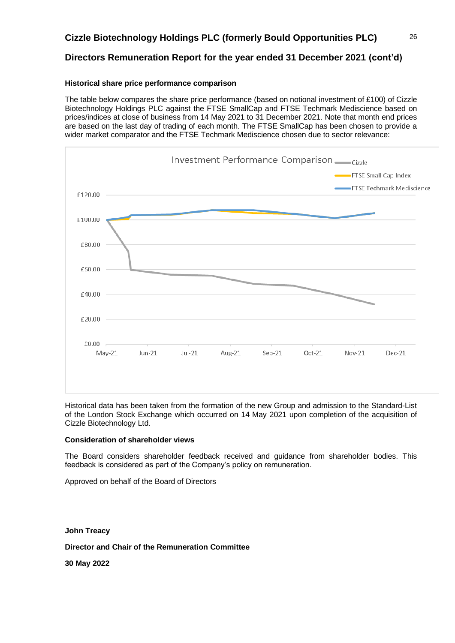# **Directors Remuneration Report for the year ended 31 December 2021 (cont'd)**

### **Historical share price performance comparison**

The table below compares the share price performance (based on notional investment of £100) of Cizzle Biotechnology Holdings PLC against the FTSE SmallCap and FTSE Techmark Mediscience based on prices/indices at close of business from 14 May 2021 to 31 December 2021. Note that month end prices are based on the last day of trading of each month. The FTSE SmallCap has been chosen to provide a wider market comparator and the FTSE Techmark Mediscience chosen due to sector relevance:



Historical data has been taken from the formation of the new Group and admission to the Standard-List of the London Stock Exchange which occurred on 14 May 2021 upon completion of the acquisition of Cizzle Biotechnology Ltd.

### **Consideration of shareholder views**

The Board considers shareholder feedback received and guidance from shareholder bodies. This feedback is considered as part of the Company's policy on remuneration.

Approved on behalf of the Board of Directors

**John Treacy**

**Director and Chair of the Remuneration Committee**

**30 May 2022**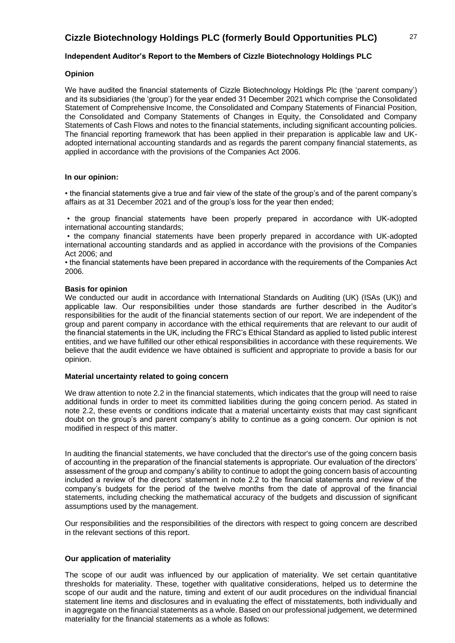### **Independent Auditor's Report to the Members of Cizzle Biotechnology Holdings PLC**

### **Opinion**

We have audited the financial statements of Cizzle Biotechnology Holdings Plc (the 'parent company') and its subsidiaries (the 'group') for the year ended 31 December 2021 which comprise the Consolidated Statement of Comprehensive Income, the Consolidated and Company Statements of Financial Position, the Consolidated and Company Statements of Changes in Equity, the Consolidated and Company Statements of Cash Flows and notes to the financial statements, including significant accounting policies. The financial reporting framework that has been applied in their preparation is applicable law and UKadopted international accounting standards and as regards the parent company financial statements, as applied in accordance with the provisions of the Companies Act 2006.

### **In our opinion:**

• the financial statements give a true and fair view of the state of the group's and of the parent company's affairs as at 31 December 2021 and of the group's loss for the year then ended;

• the group financial statements have been properly prepared in accordance with UK-adopted international accounting standards;

• the company financial statements have been properly prepared in accordance with UK-adopted international accounting standards and as applied in accordance with the provisions of the Companies Act 2006; and

• the financial statements have been prepared in accordance with the requirements of the Companies Act 2006.

### **Basis for opinion**

We conducted our audit in accordance with International Standards on Auditing (UK) (ISAs (UK)) and applicable law. Our responsibilities under those standards are further described in the Auditor's responsibilities for the audit of the financial statements section of our report. We are independent of the group and parent company in accordance with the ethical requirements that are relevant to our audit of the financial statements in the UK, including the FRC's Ethical Standard as applied to listed public interest entities, and we have fulfilled our other ethical responsibilities in accordance with these requirements. We believe that the audit evidence we have obtained is sufficient and appropriate to provide a basis for our opinion.

### **Material uncertainty related to going concern**

We draw attention to note 2.2 in the financial statements, which indicates that the group will need to raise additional funds in order to meet its committed liabilities during the going concern period. As stated in note 2.2, these events or conditions indicate that a material uncertainty exists that may cast significant doubt on the group's and parent company's ability to continue as a going concern. Our opinion is not modified in respect of this matter.

In auditing the financial statements, we have concluded that the director's use of the going concern basis of accounting in the preparation of the financial statements is appropriate. Our evaluation of the directors' assessment of the group and company's ability to continue to adopt the going concern basis of accounting included a review of the directors' statement in note 2.2 to the financial statements and review of the company's budgets for the period of the twelve months from the date of approval of the financial statements, including checking the mathematical accuracy of the budgets and discussion of significant assumptions used by the management.

Our responsibilities and the responsibilities of the directors with respect to going concern are described in the relevant sections of this report.

### **Our application of materiality**

The scope of our audit was influenced by our application of materiality. We set certain quantitative thresholds for materiality. These, together with qualitative considerations, helped us to determine the scope of our audit and the nature, timing and extent of our audit procedures on the individual financial statement line items and disclosures and in evaluating the effect of misstatements, both individually and in aggregate on the financial statements as a whole. Based on our professional judgement, we determined materiality for the financial statements as a whole as follows: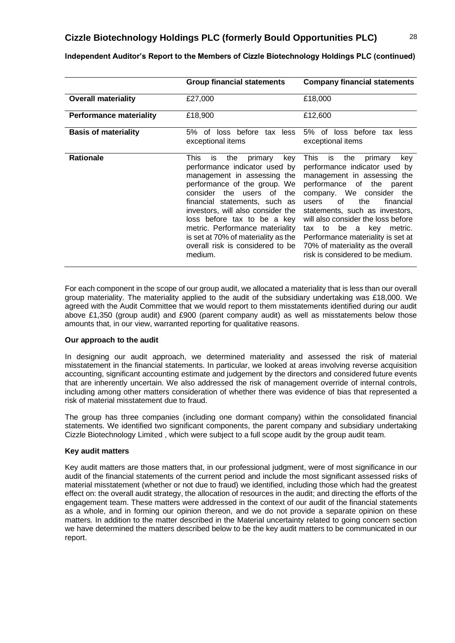|                                | <b>Group financial statements</b>                                                                                                                                                                                                                                                                                                                                                                       | <b>Company financial statements</b>                                                                                                                                                                                                                                                                                                                                                                                                |
|--------------------------------|---------------------------------------------------------------------------------------------------------------------------------------------------------------------------------------------------------------------------------------------------------------------------------------------------------------------------------------------------------------------------------------------------------|------------------------------------------------------------------------------------------------------------------------------------------------------------------------------------------------------------------------------------------------------------------------------------------------------------------------------------------------------------------------------------------------------------------------------------|
| <b>Overall materiality</b>     | £27,000                                                                                                                                                                                                                                                                                                                                                                                                 | £18,000                                                                                                                                                                                                                                                                                                                                                                                                                            |
| <b>Performance materiality</b> | £18,900                                                                                                                                                                                                                                                                                                                                                                                                 | £12,600                                                                                                                                                                                                                                                                                                                                                                                                                            |
| <b>Basis of materiality</b>    | before<br>5%<br>0f<br>loss<br>tax less<br>exceptional items                                                                                                                                                                                                                                                                                                                                             | loss before<br>5%<br>of<br>tax<br>less<br>exceptional items                                                                                                                                                                                                                                                                                                                                                                        |
| <b>Rationale</b>               | This<br>the<br>primary<br>is<br>key<br>performance indicator used by<br>management in assessing the<br>performance of the group. We<br>the<br>consider<br>users of<br>the<br>financial statements, such as<br>investors, will also consider the<br>loss before tax to be a key<br>metric. Performance materiality<br>is set at 70% of materiality as the<br>overall risk is considered to be<br>medium. | This<br>the<br>is<br>primary<br>key<br>performance indicator used by<br>management in assessing the<br>performance of the parent<br>company. We consider<br>the<br>0f<br>the<br>financial<br>users<br>statements, such as investors,<br>will also consider the loss before<br>be<br>kev<br>metric.<br>to<br>a<br>tax<br>Performance materiality is set at<br>70% of materiality as the overall<br>risk is considered to be medium. |

**Independent Auditor's Report to the Members of Cizzle Biotechnology Holdings PLC (continued)**

For each component in the scope of our group audit, we allocated a materiality that is less than our overall group materiality. The materiality applied to the audit of the subsidiary undertaking was £18,000. We agreed with the Audit Committee that we would report to them misstatements identified during our audit above £1,350 (group audit) and £900 (parent company audit) as well as misstatements below those amounts that, in our view, warranted reporting for qualitative reasons.

### **Our approach to the audit**

In designing our audit approach, we determined materiality and assessed the risk of material misstatement in the financial statements. In particular, we looked at areas involving reverse acquisition accounting, significant accounting estimate and judgement by the directors and considered future events that are inherently uncertain. We also addressed the risk of management override of internal controls, including among other matters consideration of whether there was evidence of bias that represented a risk of material misstatement due to fraud.

The group has three companies (including one dormant company) within the consolidated financial statements. We identified two significant components, the parent company and subsidiary undertaking Cizzle Biotechnology Limited , which were subject to a full scope audit by the group audit team.

### **Key audit matters**

Key audit matters are those matters that, in our professional judgment, were of most significance in our audit of the financial statements of the current period and include the most significant assessed risks of material misstatement (whether or not due to fraud) we identified, including those which had the greatest effect on: the overall audit strategy, the allocation of resources in the audit; and directing the efforts of the engagement team. These matters were addressed in the context of our audit of the financial statements as a whole, and in forming our opinion thereon, and we do not provide a separate opinion on these matters. In addition to the matter described in the Material uncertainty related to going concern section we have determined the matters described below to be the key audit matters to be communicated in our report.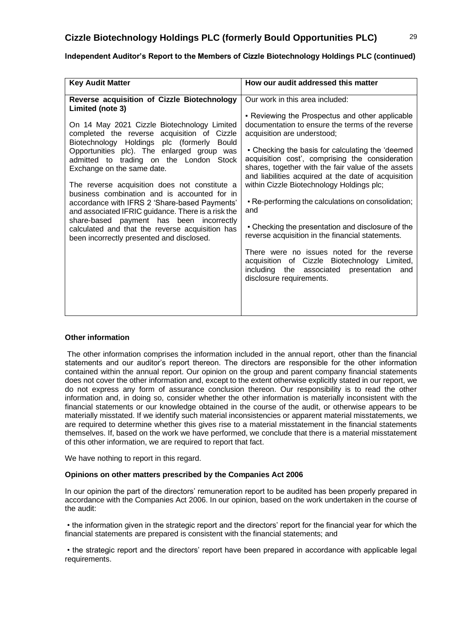| <b>Key Audit Matter</b>                                                                                                                                                                                                                                                                                                                                                                                                                                                                                                                                                                                                                                                                          | How our audit addressed this matter                                                                                                                                                                                                                                                                                                                                                                                                                                                                                                                                                                                                                                                                                                                                                       |
|--------------------------------------------------------------------------------------------------------------------------------------------------------------------------------------------------------------------------------------------------------------------------------------------------------------------------------------------------------------------------------------------------------------------------------------------------------------------------------------------------------------------------------------------------------------------------------------------------------------------------------------------------------------------------------------------------|-------------------------------------------------------------------------------------------------------------------------------------------------------------------------------------------------------------------------------------------------------------------------------------------------------------------------------------------------------------------------------------------------------------------------------------------------------------------------------------------------------------------------------------------------------------------------------------------------------------------------------------------------------------------------------------------------------------------------------------------------------------------------------------------|
|                                                                                                                                                                                                                                                                                                                                                                                                                                                                                                                                                                                                                                                                                                  |                                                                                                                                                                                                                                                                                                                                                                                                                                                                                                                                                                                                                                                                                                                                                                                           |
| Reverse acquisition of Cizzle Biotechnology<br>Limited (note 3)<br>On 14 May 2021 Cizzle Biotechnology Limited<br>completed the reverse acquisition of Cizzle<br>Biotechnology Holdings plc (formerly<br><b>Bould</b><br>Opportunities plc). The enlarged group was<br>admitted to trading on the London Stock<br>Exchange on the same date.<br>The reverse acquisition does not constitute a<br>business combination and is accounted for in<br>accordance with IFRS 2 'Share-based Payments'<br>and associated IFRIC guidance. There is a risk the<br>share-based payment has been incorrectly<br>calculated and that the reverse acquisition has<br>been incorrectly presented and disclosed. | Our work in this area included:<br>• Reviewing the Prospectus and other applicable<br>documentation to ensure the terms of the reverse<br>acquisition are understood;<br>• Checking the basis for calculating the 'deemed<br>acquisition cost', comprising the consideration<br>shares, together with the fair value of the assets<br>and liabilities acquired at the date of acquisition<br>within Cizzle Biotechnology Holdings plc;<br>- Re-performing the calculations on consolidation;<br>and<br>• Checking the presentation and disclosure of the<br>reverse acquisition in the financial statements.<br>There were no issues noted for the reverse<br>acquisition of Cizzle Biotechnology Limited,<br>including the associated<br>presentation<br>and<br>disclosure requirements. |

## **Independent Auditor's Report to the Members of Cizzle Biotechnology Holdings PLC (continued)**

### **Other information**

The other information comprises the information included in the annual report, other than the financial statements and our auditor's report thereon. The directors are responsible for the other information contained within the annual report. Our opinion on the group and parent company financial statements does not cover the other information and, except to the extent otherwise explicitly stated in our report, we do not express any form of assurance conclusion thereon. Our responsibility is to read the other information and, in doing so, consider whether the other information is materially inconsistent with the financial statements or our knowledge obtained in the course of the audit, or otherwise appears to be materially misstated. If we identify such material inconsistencies or apparent material misstatements, we are required to determine whether this gives rise to a material misstatement in the financial statements themselves. If, based on the work we have performed, we conclude that there is a material misstatement of this other information, we are required to report that fact.

We have nothing to report in this regard.

### **Opinions on other matters prescribed by the Companies Act 2006**

In our opinion the part of the directors' remuneration report to be audited has been properly prepared in accordance with the Companies Act 2006. In our opinion, based on the work undertaken in the course of the audit:

• the information given in the strategic report and the directors' report for the financial year for which the financial statements are prepared is consistent with the financial statements; and

• the strategic report and the directors' report have been prepared in accordance with applicable legal requirements.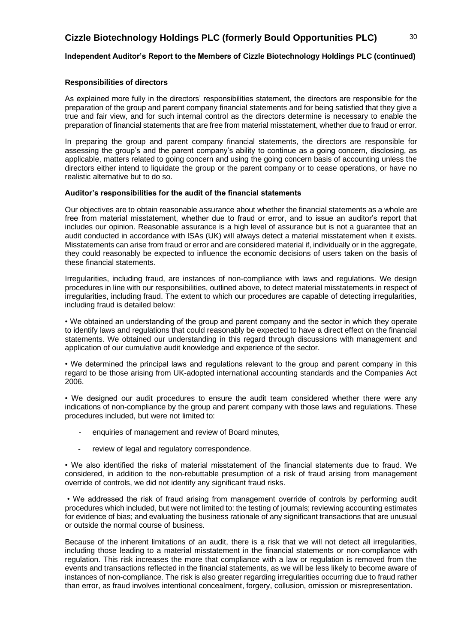### **Independent Auditor's Report to the Members of Cizzle Biotechnology Holdings PLC (continued)**

### **Responsibilities of directors**

As explained more fully in the directors' responsibilities statement, the directors are responsible for the preparation of the group and parent company financial statements and for being satisfied that they give a true and fair view, and for such internal control as the directors determine is necessary to enable the preparation of financial statements that are free from material misstatement, whether due to fraud or error.

In preparing the group and parent company financial statements, the directors are responsible for assessing the group's and the parent company's ability to continue as a going concern, disclosing, as applicable, matters related to going concern and using the going concern basis of accounting unless the directors either intend to liquidate the group or the parent company or to cease operations, or have no realistic alternative but to do so.

### **Auditor's responsibilities for the audit of the financial statements**

Our objectives are to obtain reasonable assurance about whether the financial statements as a whole are free from material misstatement, whether due to fraud or error, and to issue an auditor's report that includes our opinion. Reasonable assurance is a high level of assurance but is not a guarantee that an audit conducted in accordance with ISAs (UK) will always detect a material misstatement when it exists. Misstatements can arise from fraud or error and are considered material if, individually or in the aggregate, they could reasonably be expected to influence the economic decisions of users taken on the basis of these financial statements.

Irregularities, including fraud, are instances of non-compliance with laws and regulations. We design procedures in line with our responsibilities, outlined above, to detect material misstatements in respect of irregularities, including fraud. The extent to which our procedures are capable of detecting irregularities, including fraud is detailed below:

• We obtained an understanding of the group and parent company and the sector in which they operate to identify laws and regulations that could reasonably be expected to have a direct effect on the financial statements. We obtained our understanding in this regard through discussions with management and application of our cumulative audit knowledge and experience of the sector.

• We determined the principal laws and regulations relevant to the group and parent company in this regard to be those arising from UK-adopted international accounting standards and the Companies Act 2006.

• We designed our audit procedures to ensure the audit team considered whether there were any indications of non-compliance by the group and parent company with those laws and regulations. These procedures included, but were not limited to:

- enquiries of management and review of Board minutes,
- review of legal and regulatory correspondence.

• We also identified the risks of material misstatement of the financial statements due to fraud. We considered, in addition to the non-rebuttable presumption of a risk of fraud arising from management override of controls, we did not identify any significant fraud risks.

• We addressed the risk of fraud arising from management override of controls by performing audit procedures which included, but were not limited to: the testing of journals; reviewing accounting estimates for evidence of bias; and evaluating the business rationale of any significant transactions that are unusual or outside the normal course of business.

Because of the inherent limitations of an audit, there is a risk that we will not detect all irregularities, including those leading to a material misstatement in the financial statements or non-compliance with regulation. This risk increases the more that compliance with a law or regulation is removed from the events and transactions reflected in the financial statements, as we will be less likely to become aware of instances of non-compliance. The risk is also greater regarding irregularities occurring due to fraud rather than error, as fraud involves intentional concealment, forgery, collusion, omission or misrepresentation.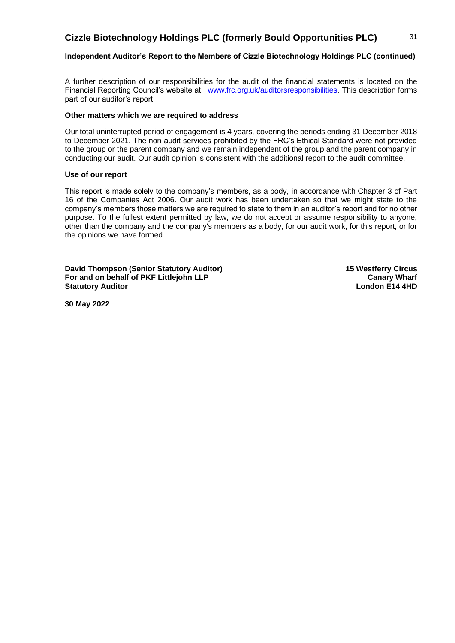### **Independent Auditor's Report to the Members of Cizzle Biotechnology Holdings PLC (continued)**

A further description of our responsibilities for the audit of the financial statements is located on the Financial Reporting Council's website at: [www.frc.org.uk/auditorsresponsibilities.](http://www.frc.org.uk/auditorsresponsibilities) This description forms part of our auditor's report.

### **Other matters which we are required to address**

Our total uninterrupted period of engagement is 4 years, covering the periods ending 31 December 2018 to December 2021. The non-audit services prohibited by the FRC's Ethical Standard were not provided to the group or the parent company and we remain independent of the group and the parent company in conducting our audit. Our audit opinion is consistent with the additional report to the audit committee.

### **Use of our report**

This report is made solely to the company's members, as a body, in accordance with Chapter 3 of Part 16 of the Companies Act 2006. Our audit work has been undertaken so that we might state to the company's members those matters we are required to state to them in an auditor's report and for no other purpose. To the fullest extent permitted by law, we do not accept or assume responsibility to anyone, other than the company and the company's members as a body, for our audit work, for this report, or for the opinions we have formed.

**David Thompson (Senior Statutory Auditor)** 15 Westferry Circus **For and on behalf of PKF Littlejohn LLP Canary Wharf Canary Wharf Statutory Auditor London E14 4HD London E14 4HD** 

**30 May 2022**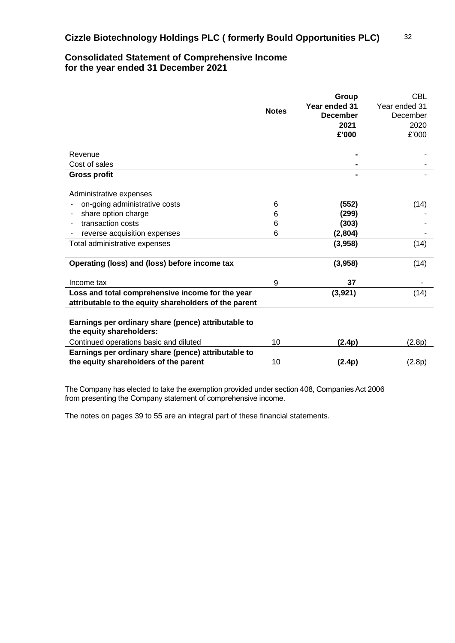# **Consolidated Statement of Comprehensive Income for the year ended 31 December 2021**

|                                                                                                           |              | Group           | <b>CBL</b>    |
|-----------------------------------------------------------------------------------------------------------|--------------|-----------------|---------------|
|                                                                                                           |              | Year ended 31   | Year ended 31 |
|                                                                                                           | <b>Notes</b> | <b>December</b> | December      |
|                                                                                                           |              | 2021            | 2020          |
|                                                                                                           |              | £'000           | £'000         |
|                                                                                                           |              |                 |               |
| Revenue                                                                                                   |              | -               |               |
| Cost of sales                                                                                             |              |                 |               |
| <b>Gross profit</b>                                                                                       |              |                 |               |
| Administrative expenses                                                                                   |              |                 |               |
| on-going administrative costs                                                                             | 6            | (552)           | (14)          |
| share option charge                                                                                       | 6            | (299)           |               |
| transaction costs                                                                                         | 6            | (303)           |               |
| reverse acquisition expenses                                                                              | 6            | (2,804)         |               |
| Total administrative expenses                                                                             |              | (3,958)         | (14)          |
| Operating (loss) and (loss) before income tax                                                             |              | (3,958)         | (14)          |
| Income tax                                                                                                | 9            | 37              |               |
| Loss and total comprehensive income for the year<br>attributable to the equity shareholders of the parent |              | (3,921)         | (14)          |
|                                                                                                           |              |                 |               |
| Earnings per ordinary share (pence) attributable to<br>the equity shareholders:                           |              |                 |               |
| Continued operations basic and diluted                                                                    | 10           | (2.4p)          | (2.8p)        |
| Earnings per ordinary share (pence) attributable to                                                       |              |                 |               |
| the equity shareholders of the parent                                                                     | 10           | (2.4p)          | (2.8p)        |

The Company has elected to take the exemption provided under section 408, Companies Act 2006 from presenting the Company statement of comprehensive income.

The notes on pages 39 to 55 are an integral part of these financial statements.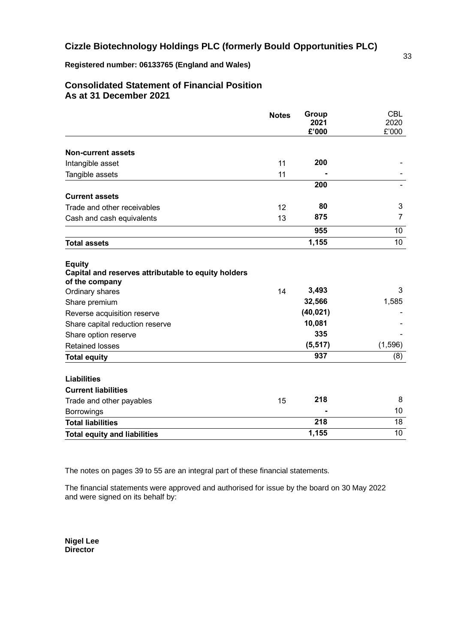**Registered number: 06133765 (England and Wales)**

# **Consolidated Statement of Financial Position As at 31 December 2021**

|                                                                                        | <b>Notes</b> | Group<br>2021<br>£'000 | <b>CBL</b><br>2020<br>£'000 |
|----------------------------------------------------------------------------------------|--------------|------------------------|-----------------------------|
| <b>Non-current assets</b>                                                              |              |                        |                             |
| Intangible asset                                                                       | 11           | 200                    |                             |
| Tangible assets                                                                        | 11           |                        |                             |
|                                                                                        |              | 200                    |                             |
| <b>Current assets</b>                                                                  |              |                        |                             |
| Trade and other receivables                                                            | 12           | 80                     | 3                           |
| Cash and cash equivalents                                                              | 13           | 875                    | $\overline{7}$              |
|                                                                                        |              | 955                    | 10                          |
| <b>Total assets</b>                                                                    |              | 1,155                  | 10                          |
| <b>Equity</b><br>Capital and reserves attributable to equity holders<br>of the company |              |                        |                             |
| Ordinary shares                                                                        | 14           | 3,493                  | 3                           |
| Share premium                                                                          |              | 32,566                 | 1,585                       |
| Reverse acquisition reserve                                                            |              | (40, 021)              |                             |
| Share capital reduction reserve                                                        |              | 10,081                 |                             |
| Share option reserve                                                                   |              | 335                    |                             |
| <b>Retained losses</b>                                                                 |              | (5, 517)               | (1, 596)                    |
| <b>Total equity</b>                                                                    |              | 937                    | (8)                         |
| <b>Liabilities</b>                                                                     |              |                        |                             |
| <b>Current liabilities</b>                                                             |              |                        |                             |
| Trade and other payables                                                               | 15           | 218                    | 8                           |
| <b>Borrowings</b>                                                                      |              |                        | 10                          |
| <b>Total liabilities</b>                                                               |              | 218                    | 18                          |
| <b>Total equity and liabilities</b>                                                    |              | 1,155                  | 10                          |

The notes on pages 39 to 55 are an integral part of these financial statements.

The financial statements were approved and authorised for issue by the board on 30 May 2022 and were signed on its behalf by:

**Nigel Lee Director**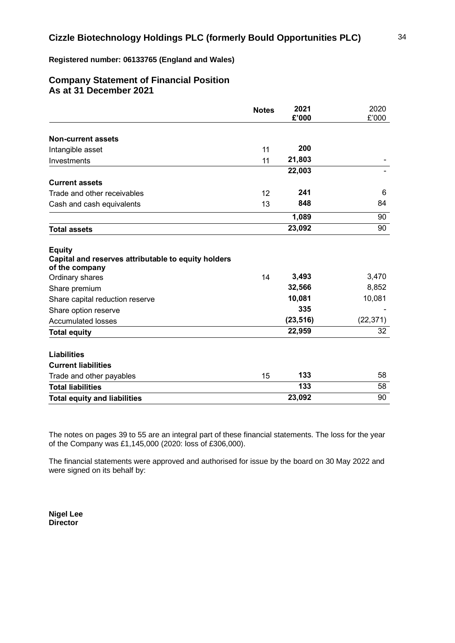### **Registered number: 06133765 (England and Wales)**

# **Company Statement of Financial Position As at 31 December 2021**

|                                                                                        | <b>Notes</b> | 2021<br>£'000 | 2020<br>£'000 |
|----------------------------------------------------------------------------------------|--------------|---------------|---------------|
| <b>Non-current assets</b>                                                              |              |               |               |
| Intangible asset                                                                       | 11           | 200           |               |
| Investments                                                                            | 11           | 21,803        |               |
|                                                                                        |              | 22,003        |               |
| <b>Current assets</b>                                                                  |              |               |               |
| Trade and other receivables                                                            | 12           | 241           | 6             |
| Cash and cash equivalents                                                              | 13           | 848           | 84            |
|                                                                                        |              | 1,089         | 90            |
| <b>Total assets</b>                                                                    |              | 23,092        | 90            |
| <b>Equity</b><br>Capital and reserves attributable to equity holders<br>of the company |              |               |               |
| Ordinary shares                                                                        | 14           | 3,493         | 3,470         |
| Share premium                                                                          |              | 32,566        | 8,852         |
| Share capital reduction reserve                                                        |              | 10,081        | 10,081        |
| Share option reserve                                                                   |              | 335           |               |
| <b>Accumulated losses</b>                                                              |              | (23, 516)     | (22, 371)     |
| <b>Total equity</b>                                                                    |              | 22,959        | 32            |
| <b>Liabilities</b>                                                                     |              |               |               |
| <b>Current liabilities</b>                                                             |              |               |               |
| Trade and other payables                                                               | 15           | 133           | 58            |
| <b>Total liabilities</b>                                                               |              | 133           | 58            |
| <b>Total equity and liabilities</b>                                                    |              | 23,092        | 90            |

The notes on pages 39 to 55 are an integral part of these financial statements. The loss for the year of the Company was £1,145,000 (2020: loss of £306,000).

The financial statements were approved and authorised for issue by the board on 30 May 2022 and were signed on its behalf by:

**Nigel Lee Director**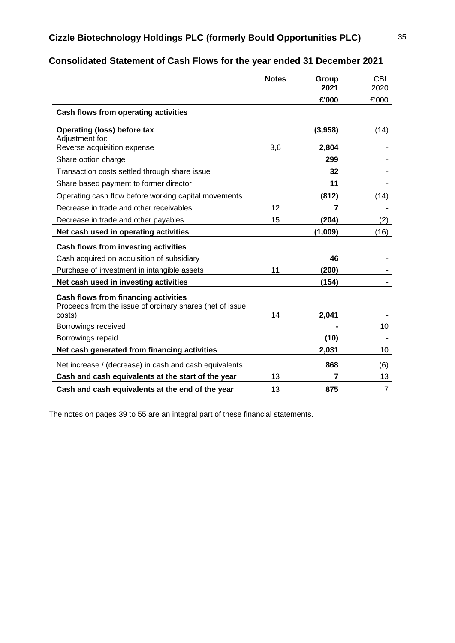# **Consolidated Statement of Cash Flows for the year ended 31 December 2021**

|                                                                                                            | <b>Notes</b> | Group<br>2021 | <b>CBL</b><br>2020 |
|------------------------------------------------------------------------------------------------------------|--------------|---------------|--------------------|
|                                                                                                            |              | £'000         | £'000              |
| Cash flows from operating activities                                                                       |              |               |                    |
| <b>Operating (loss) before tax</b><br>Adjustment for:                                                      |              | (3,958)       | (14)               |
| Reverse acquisition expense                                                                                | 3,6          | 2,804         |                    |
| Share option charge                                                                                        |              | 299           |                    |
| Transaction costs settled through share issue                                                              |              | 32            |                    |
| Share based payment to former director                                                                     |              | 11            |                    |
| Operating cash flow before working capital movements                                                       |              | (812)         | (14)               |
| Decrease in trade and other receivables                                                                    | 12           | 7             |                    |
| Decrease in trade and other payables                                                                       | 15           | (204)         | (2)                |
| Net cash used in operating activities                                                                      |              | (1,009)       | (16)               |
| <b>Cash flows from investing activities</b>                                                                |              |               |                    |
| Cash acquired on acquisition of subsidiary                                                                 |              | 46            |                    |
| Purchase of investment in intangible assets                                                                | 11           | (200)         |                    |
| Net cash used in investing activities                                                                      |              | (154)         |                    |
| Cash flows from financing activities<br>Proceeds from the issue of ordinary shares (net of issue<br>costs) | 14           | 2,041         |                    |
| Borrowings received                                                                                        |              |               | 10                 |
| Borrowings repaid                                                                                          |              | (10)          |                    |
| Net cash generated from financing activities                                                               |              | 2,031         | 10                 |
| Net increase / (decrease) in cash and cash equivalents                                                     |              | 868           | (6)                |
| Cash and cash equivalents at the start of the year                                                         | 13           | 7             | 13                 |
| Cash and cash equivalents at the end of the year                                                           | 13           | 875           | $\overline{7}$     |

The notes on pages 39 to 55 are an integral part of these financial statements.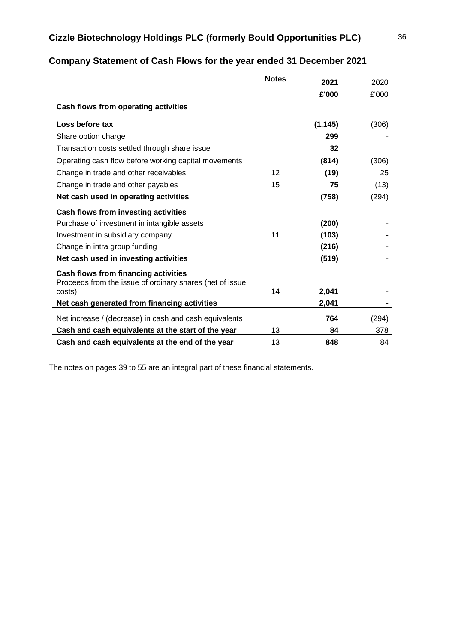|                                                                                                  | <b>Notes</b>      | 2021     | 2020  |
|--------------------------------------------------------------------------------------------------|-------------------|----------|-------|
|                                                                                                  |                   | £'000    | £'000 |
| Cash flows from operating activities                                                             |                   |          |       |
| Loss before tax                                                                                  |                   | (1, 145) | (306) |
| Share option charge                                                                              |                   | 299      |       |
| Transaction costs settled through share issue                                                    |                   | 32       |       |
| Operating cash flow before working capital movements                                             |                   | (814)    | (306) |
| Change in trade and other receivables                                                            | $12 \overline{ }$ | (19)     | 25    |
| Change in trade and other payables                                                               | 15                | 75       | (13)  |
| Net cash used in operating activities                                                            |                   | (758)    | (294) |
| <b>Cash flows from investing activities</b>                                                      |                   |          |       |
| Purchase of investment in intangible assets                                                      |                   | (200)    |       |
| Investment in subsidiary company                                                                 | 11                | (103)    |       |
| Change in intra group funding                                                                    |                   | (216)    |       |
| Net cash used in investing activities                                                            |                   | (519)    |       |
| Cash flows from financing activities<br>Proceeds from the issue of ordinary shares (net of issue |                   |          |       |
| costs)                                                                                           | 14                | 2,041    |       |
| Net cash generated from financing activities                                                     |                   | 2,041    |       |
| Net increase / (decrease) in cash and cash equivalents                                           |                   | 764      | (294) |
| Cash and cash equivalents at the start of the year                                               | 13                | 84       | 378   |
| Cash and cash equivalents at the end of the year                                                 | 13                | 848      | 84    |

# **Company Statement of Cash Flows for the year ended 31 December 2021**

The notes on pages 39 to 55 are an integral part of these financial statements.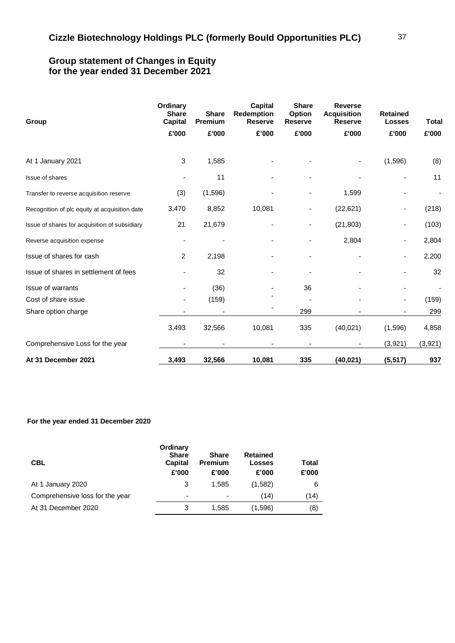## **Group statement of Changes in Equity for the year ended 31 December 2021**

| Group                                         | Ordinary<br><b>Share</b><br><b>Capital</b> | <b>Share</b><br>Premium | <b>Capital</b><br>Redemption<br><b>Reserve</b> | <b>Share</b><br>Option<br><b>Reserve</b> | <b>Reverse</b><br><b>Acquisition</b><br><b>Reserve</b> | <b>Retained</b><br><b>Losses</b> | Total   |
|-----------------------------------------------|--------------------------------------------|-------------------------|------------------------------------------------|------------------------------------------|--------------------------------------------------------|----------------------------------|---------|
|                                               | £'000                                      | £'000                   | £'000                                          | £'000                                    | £'000                                                  | £'000                            | £'000   |
| At 1 January 2021                             | 3                                          | 1,585                   |                                                |                                          |                                                        | (1,596)                          | (8)     |
| Issue of shares                               |                                            | 11                      |                                                |                                          |                                                        |                                  | 11      |
| Transfer to reverse acquisition reserve       | (3)                                        | (1,596)                 |                                                |                                          | 1,599                                                  |                                  |         |
| Recognition of plc equity at acquisition date | 3,470                                      | 8,852                   | 10,081                                         |                                          | (22, 621)                                              |                                  | (218)   |
| Issue of shares for acquisition of subsidiary | 21                                         | 21,679                  |                                                |                                          | (21, 803)                                              |                                  | (103)   |
| Reverse acquisition expense                   |                                            |                         |                                                |                                          | 2,804                                                  |                                  | 2,804   |
| Issue of shares for cash                      | 2                                          | 2,198                   |                                                |                                          |                                                        |                                  | 2,200   |
| Issue of shares in settlement of fees         |                                            | 32                      |                                                |                                          |                                                        |                                  | 32      |
| <b>Issue of warrants</b>                      |                                            | (36)                    |                                                | 36                                       |                                                        |                                  |         |
| Cost of share issue                           |                                            | (159)                   |                                                |                                          |                                                        |                                  | (159)   |
| Share option charge                           |                                            |                         |                                                | 299                                      |                                                        |                                  | 299     |
|                                               | 3,493                                      | 32,566                  | 10,081                                         | 335                                      | (40, 021)                                              | (1,596)                          | 4,858   |
| Comprehensive Loss for the year               |                                            |                         |                                                |                                          |                                                        | (3,921)                          | (3,921) |
| At 31 December 2021                           | 3,493                                      | 32,566                  | 10,081                                         | 335                                      | (40, 021)                                              | (5, 517)                         | 937     |

### **For the year ended 31 December 2020**

| <b>CBL</b>                      | Ordinary<br><b>Share</b><br><b>Capital</b><br>£'000 | <b>Share</b><br><b>Premium</b><br>£'000 | Retained<br><b>Losses</b><br>£'000 | Total<br>£'000 |
|---------------------------------|-----------------------------------------------------|-----------------------------------------|------------------------------------|----------------|
| At 1 January 2020               | 3                                                   | 1.585                                   | (1,582)                            | 6              |
| Comprehensive loss for the year | $\overline{\phantom{0}}$                            | ٠                                       | (14)                               | (14)           |
| At 31 December 2020             | 3                                                   | 1.585                                   | (1,596)                            | (8)            |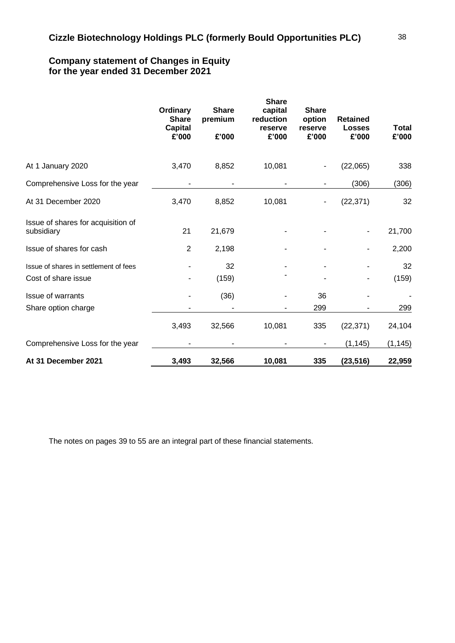# **Company statement of Changes in Equity for the year ended 31 December 2021**

|                                                              | Ordinary<br><b>Share</b><br><b>Capital</b><br>£'000 | <b>Share</b><br>premium<br>£'000 | <b>Share</b><br>capital<br>reduction<br>reserve<br>£'000 | <b>Share</b><br>option<br>reserve<br>£'000 | <b>Retained</b><br><b>Losses</b><br>£'000 | <b>Total</b><br>£'000 |
|--------------------------------------------------------------|-----------------------------------------------------|----------------------------------|----------------------------------------------------------|--------------------------------------------|-------------------------------------------|-----------------------|
| At 1 January 2020                                            | 3,470                                               | 8,852                            | 10,081                                                   |                                            | (22,065)                                  | 338                   |
| Comprehensive Loss for the year                              |                                                     |                                  |                                                          |                                            | (306)                                     | (306)                 |
| At 31 December 2020                                          | 3,470                                               | 8,852                            | 10,081                                                   |                                            | (22, 371)                                 | 32                    |
| Issue of shares for acquisition of<br>subsidiary             | 21                                                  | 21,679                           |                                                          |                                            |                                           | 21,700                |
| Issue of shares for cash                                     | $\overline{2}$                                      | 2,198                            |                                                          |                                            |                                           | 2,200                 |
| Issue of shares in settlement of fees<br>Cost of share issue |                                                     | 32<br>(159)                      |                                                          |                                            |                                           | 32<br>(159)           |
| <b>Issue of warrants</b><br>Share option charge              |                                                     | (36)                             |                                                          | 36<br>299                                  |                                           | 299                   |
|                                                              | 3,493                                               | 32,566                           | 10,081                                                   | 335                                        | (22, 371)                                 | 24,104                |
| Comprehensive Loss for the year                              |                                                     |                                  |                                                          |                                            | (1, 145)                                  | (1, 145)              |
| At 31 December 2021                                          | 3,493                                               | 32,566                           | 10,081                                                   | 335                                        | (23, 516)                                 | 22,959                |

The notes on pages 39 to 55 are an integral part of these financial statements.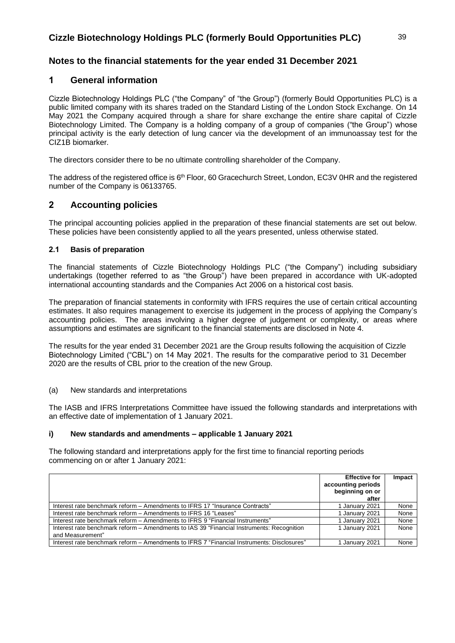# **Notes to the financial statements for the year ended 31 December 2021**

### **1 General information**

Cizzle Biotechnology Holdings PLC ("the Company" of "the Group") (formerly Bould Opportunities PLC) is a public limited company with its shares traded on the Standard Listing of the London Stock Exchange. On 14 May 2021 the Company acquired through a share for share exchange the entire share capital of Cizzle Biotechnology Limited. The Company is a holding company of a group of companies ("the Group") whose principal activity is the early detection of lung cancer via the development of an immunoassay test for the CIZ1B biomarker.

The directors consider there to be no ultimate controlling shareholder of the Company.

The address of the registered office is  $6<sup>th</sup>$  Floor, 60 Gracechurch Street, London, EC3V 0HR and the registered number of the Company is 06133765.

### **2 Accounting policies**

The principal accounting policies applied in the preparation of these financial statements are set out below. These policies have been consistently applied to all the years presented, unless otherwise stated.

### **2.1 Basis of preparation**

The financial statements of Cizzle Biotechnology Holdings PLC ("the Company") including subsidiary undertakings (together referred to as "the Group") have been prepared in accordance with UK-adopted international accounting standards and the Companies Act 2006 on a historical cost basis.

The preparation of financial statements in conformity with IFRS requires the use of certain critical accounting estimates. It also requires management to exercise its judgement in the process of applying the Company's accounting policies. The areas involving a higher degree of judgement or complexity, or areas where assumptions and estimates are significant to the financial statements are disclosed in Note 4.

The results for the year ended 31 December 2021 are the Group results following the acquisition of Cizzle Biotechnology Limited ("CBL") on 14 May 2021. The results for the comparative period to 31 December 2020 are the results of CBL prior to the creation of the new Group.

### (a) New standards and interpretations

The IASB and IFRS Interpretations Committee have issued the following standards and interpretations with an effective date of implementation of 1 January 2021.

### **i) New standards and amendments – applicable 1 January 2021**

The following standard and interpretations apply for the first time to financial reporting periods commencing on or after 1 January 2021:

|                                                                                            | <b>Effective for</b> | Impact |
|--------------------------------------------------------------------------------------------|----------------------|--------|
|                                                                                            | accounting periods   |        |
|                                                                                            | beginning on or      |        |
|                                                                                            | after                |        |
| Interest rate benchmark reform - Amendments to IFRS 17 "Insurance Contracts"               | 1 January 2021       | None   |
| lnterest rate benchmark reform – Amendments to IFRS 16 "Leases"                            | 1 January 2021       | None   |
| Interest rate benchmark reform – Amendments to IFRS 9 "Financial Instruments"              | 1 January 2021       | None   |
| Interest rate benchmark reform – Amendments to IAS 39 "Financial Instruments: Recognition  | 1 January 2021       | None   |
| and Measurement"                                                                           |                      |        |
| Interest rate benchmark reform – Amendments to IFRS 7 "Financial Instruments: Disclosures" | 1 January 2021       | None   |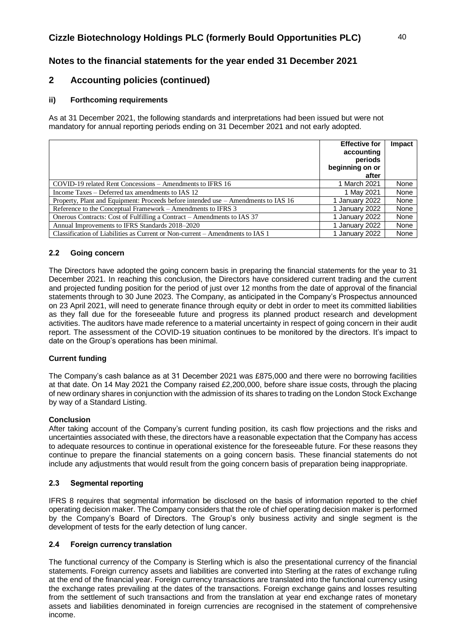# **Notes to the financial statements for the year ended 31 December 2021**

# **2 Accounting policies (continued)**

### **ii) Forthcoming requirements**

As at 31 December 2021, the following standards and interpretations had been issued but were not mandatory for annual reporting periods ending on 31 December 2021 and not early adopted.

|                                                                                    | <b>Effective for</b><br>accounting<br>periods | Impact |
|------------------------------------------------------------------------------------|-----------------------------------------------|--------|
|                                                                                    | beginning on or<br>after                      |        |
| COVID-19 related Rent Concessions – Amendments to IFRS 16                          | 1 March 2021                                  | None   |
| Income Taxes – Deferred tax amendments to IAS 12                                   | 1 May 2021                                    | None   |
| Property, Plant and Equipment: Proceeds before intended use – Amendments to IAS 16 | 1 January 2022                                | None   |
| Reference to the Conceptual Framework – Amendments to IFRS 3                       | 1 January 2022                                | None   |
| Onerous Contracts: Cost of Fulfilling a Contract – Amendments to IAS 37            | 1 January 2022                                | None   |
| Annual Improvements to IFRS Standards 2018–2020                                    | 1 January 2022                                | None   |
| Classification of Liabilities as Current or Non-current – Amendments to IAS 1      | 1 January 2022                                | None   |

### **2.2 Going concern**

The Directors have adopted the going concern basis in preparing the financial statements for the year to 31 December 2021. In reaching this conclusion, the Directors have considered current trading and the current and projected funding position for the period of just over 12 months from the date of approval of the financial statements through to 30 June 2023. The Company, as anticipated in the Company's Prospectus announced on 23 April 2021, will need to generate finance through equity or debt in order to meet its committed liabilities as they fall due for the foreseeable future and progress its planned product research and development activities. The auditors have made reference to a material uncertainty in respect of going concern in their audit report. The assessment of the COVID-19 situation continues to be monitored by the directors. It's impact to date on the Group's operations has been minimal.

### **Current funding**

The Company's cash balance as at 31 December 2021 was £875,000 and there were no borrowing facilities at that date. On 14 May 2021 the Company raised £2,200,000, before share issue costs, through the placing of new ordinary shares in conjunction with the admission of its shares to trading on the London Stock Exchange by way of a Standard Listing.

### **Conclusion**

After taking account of the Company's current funding position, its cash flow projections and the risks and uncertainties associated with these, the directors have a reasonable expectation that the Company has access to adequate resources to continue in operational existence for the foreseeable future. For these reasons they continue to prepare the financial statements on a going concern basis. These financial statements do not include any adjustments that would result from the going concern basis of preparation being inappropriate.

### **2.3 Segmental reporting**

IFRS 8 requires that segmental information be disclosed on the basis of information reported to the chief operating decision maker. The Company considers that the role of chief operating decision maker is performed by the Company's Board of Directors. The Group's only business activity and single segment is the development of tests for the early detection of lung cancer.

### **2.4 Foreign currency translation**

The functional currency of the Company is Sterling which is also the presentational currency of the financial statements. Foreign currency assets and liabilities are converted into Sterling at the rates of exchange ruling at the end of the financial year. Foreign currency transactions are translated into the functional currency using the exchange rates prevailing at the dates of the transactions. Foreign exchange gains and losses resulting from the settlement of such transactions and from the translation at year end exchange rates of monetary assets and liabilities denominated in foreign currencies are recognised in the statement of comprehensive income.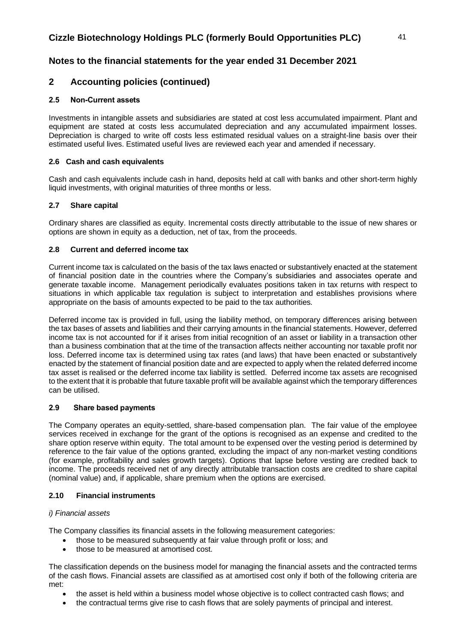# **Notes to the financial statements for the year ended 31 December 2021**

## **2 Accounting policies (continued)**

### **2.5 Non-Current assets**

Investments in intangible assets and subsidiaries are stated at cost less accumulated impairment. Plant and equipment are stated at costs less accumulated depreciation and any accumulated impairment losses. Depreciation is charged to write off costs less estimated residual values on a straight-line basis over their estimated useful lives. Estimated useful lives are reviewed each year and amended if necessary.

### **2.6 Cash and cash equivalents**

Cash and cash equivalents include cash in hand, deposits held at call with banks and other short-term highly liquid investments, with original maturities of three months or less.

### **2.7 Share capital**

Ordinary shares are classified as equity. Incremental costs directly attributable to the issue of new shares or options are shown in equity as a deduction, net of tax, from the proceeds.

### **2.8 Current and deferred income tax**

Current income tax is calculated on the basis of the tax laws enacted or substantively enacted at the statement of financial position date in the countries where the Company's subsidiaries and associates operate and generate taxable income. Management periodically evaluates positions taken in tax returns with respect to situations in which applicable tax regulation is subject to interpretation and establishes provisions where appropriate on the basis of amounts expected to be paid to the tax authorities.

Deferred income tax is provided in full, using the liability method, on temporary differences arising between the tax bases of assets and liabilities and their carrying amounts in the financial statements. However, deferred income tax is not accounted for if it arises from initial recognition of an asset or liability in a transaction other than a business combination that at the time of the transaction affects neither accounting nor taxable profit nor loss. Deferred income tax is determined using tax rates (and laws) that have been enacted or substantively enacted by the statement of financial position date and are expected to apply when the related deferred income tax asset is realised or the deferred income tax liability is settled. Deferred income tax assets are recognised to the extent that it is probable that future taxable profit will be available against which the temporary differences can be utilised.

### **2.9 Share based payments**

The Company operates an equity-settled, share-based compensation plan. The fair value of the employee services received in exchange for the grant of the options is recognised as an expense and credited to the share option reserve within equity. The total amount to be expensed over the vesting period is determined by reference to the fair value of the options granted, excluding the impact of any non-market vesting conditions (for example, profitability and sales growth targets). Options that lapse before vesting are credited back to income. The proceeds received net of any directly attributable transaction costs are credited to share capital (nominal value) and, if applicable, share premium when the options are exercised.

### **2.10 Financial instruments**

### *i) Financial assets*

The Company classifies its financial assets in the following measurement categories:

- those to be measured subsequently at fair value through profit or loss; and
- those to be measured at amortised cost.

The classification depends on the business model for managing the financial assets and the contracted terms of the cash flows. Financial assets are classified as at amortised cost only if both of the following criteria are met:

- the asset is held within a business model whose objective is to collect contracted cash flows; and
- the contractual terms give rise to cash flows that are solely payments of principal and interest.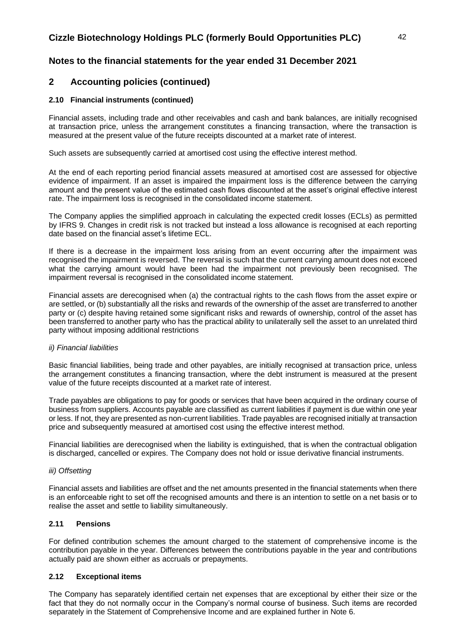# **Notes to the financial statements for the year ended 31 December 2021**

# **2 Accounting policies (continued)**

### **2.10 Financial instruments (continued)**

Financial assets, including trade and other receivables and cash and bank balances, are initially recognised at transaction price, unless the arrangement constitutes a financing transaction, where the transaction is measured at the present value of the future receipts discounted at a market rate of interest.

Such assets are subsequently carried at amortised cost using the effective interest method.

At the end of each reporting period financial assets measured at amortised cost are assessed for objective evidence of impairment. If an asset is impaired the impairment loss is the difference between the carrying amount and the present value of the estimated cash flows discounted at the asset's original effective interest rate. The impairment loss is recognised in the consolidated income statement.

The Company applies the simplified approach in calculating the expected credit losses (ECLs) as permitted by IFRS 9. Changes in credit risk is not tracked but instead a loss allowance is recognised at each reporting date based on the financial asset's lifetime ECL.

If there is a decrease in the impairment loss arising from an event occurring after the impairment was recognised the impairment is reversed. The reversal is such that the current carrying amount does not exceed what the carrying amount would have been had the impairment not previously been recognised. The impairment reversal is recognised in the consolidated income statement.

Financial assets are derecognised when (a) the contractual rights to the cash flows from the asset expire or are settled, or (b) substantially all the risks and rewards of the ownership of the asset are transferred to another party or (c) despite having retained some significant risks and rewards of ownership, control of the asset has been transferred to another party who has the practical ability to unilaterally sell the asset to an unrelated third party without imposing additional restrictions

### *ii) Financial liabilities*

Basic financial liabilities, being trade and other payables, are initially recognised at transaction price, unless the arrangement constitutes a financing transaction, where the debt instrument is measured at the present value of the future receipts discounted at a market rate of interest.

Trade payables are obligations to pay for goods or services that have been acquired in the ordinary course of business from suppliers. Accounts payable are classified as current liabilities if payment is due within one year or less. If not, they are presented as non-current liabilities. Trade payables are recognised initially at transaction price and subsequently measured at amortised cost using the effective interest method.

Financial liabilities are derecognised when the liability is extinguished, that is when the contractual obligation is discharged, cancelled or expires. The Company does not hold or issue derivative financial instruments.

### *iii) Offsetting*

Financial assets and liabilities are offset and the net amounts presented in the financial statements when there is an enforceable right to set off the recognised amounts and there is an intention to settle on a net basis or to realise the asset and settle to liability simultaneously.

### **2.11 Pensions**

For defined contribution schemes the amount charged to the statement of comprehensive income is the contribution payable in the year. Differences between the contributions payable in the year and contributions actually paid are shown either as accruals or prepayments.

### **2.12 Exceptional items**

The Company has separately identified certain net expenses that are exceptional by either their size or the fact that they do not normally occur in the Company's normal course of business. Such items are recorded separately in the Statement of Comprehensive Income and are explained further in Note 6.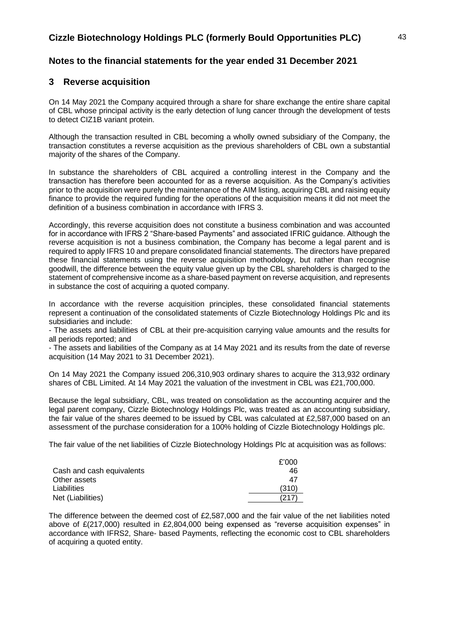### **3 Reverse acquisition**

On 14 May 2021 the Company acquired through a share for share exchange the entire share capital of CBL whose principal activity is the early detection of lung cancer through the development of tests to detect CIZ1B variant protein.

Although the transaction resulted in CBL becoming a wholly owned subsidiary of the Company, the transaction constitutes a reverse acquisition as the previous shareholders of CBL own a substantial majority of the shares of the Company.

In substance the shareholders of CBL acquired a controlling interest in the Company and the transaction has therefore been accounted for as a reverse acquisition. As the Company's activities prior to the acquisition were purely the maintenance of the AIM listing, acquiring CBL and raising equity finance to provide the required funding for the operations of the acquisition means it did not meet the definition of a business combination in accordance with IFRS 3.

Accordingly, this reverse acquisition does not constitute a business combination and was accounted for in accordance with IFRS 2 "Share-based Payments" and associated IFRIC guidance. Although the reverse acquisition is not a business combination, the Company has become a legal parent and is required to apply IFRS 10 and prepare consolidated financial statements. The directors have prepared these financial statements using the reverse acquisition methodology, but rather than recognise goodwill, the difference between the equity value given up by the CBL shareholders is charged to the statement of comprehensive income as a share-based payment on reverse acquisition, and represents in substance the cost of acquiring a quoted company.

In accordance with the reverse acquisition principles, these consolidated financial statements represent a continuation of the consolidated statements of Cizzle Biotechnology Holdings Plc and its subsidiaries and include:

- The assets and liabilities of CBL at their pre-acquisition carrying value amounts and the results for all periods reported; and

- The assets and liabilities of the Company as at 14 May 2021 and its results from the date of reverse acquisition (14 May 2021 to 31 December 2021).

On 14 May 2021 the Company issued 206,310,903 ordinary shares to acquire the 313,932 ordinary shares of CBL Limited. At 14 May 2021 the valuation of the investment in CBL was £21,700,000.

Because the legal subsidiary, CBL, was treated on consolidation as the accounting acquirer and the legal parent company, Cizzle Biotechnology Holdings Plc, was treated as an accounting subsidiary, the fair value of the shares deemed to be issued by CBL was calculated at £2,587,000 based on an assessment of the purchase consideration for a 100% holding of Cizzle Biotechnology Holdings plc.

The fair value of the net liabilities of Cizzle Biotechnology Holdings Plc at acquisition was as follows:

|                           | £'000 |
|---------------------------|-------|
| Cash and cash equivalents | 46    |
| Other assets              | 47    |
| Liabilities               | (310) |
| Net (Liabilities)         | (217  |

The difference between the deemed cost of £2,587,000 and the fair value of the net liabilities noted above of £(217,000) resulted in £2,804,000 being expensed as "reverse acquisition expenses" in accordance with IFRS2, Share- based Payments, reflecting the economic cost to CBL shareholders of acquiring a quoted entity.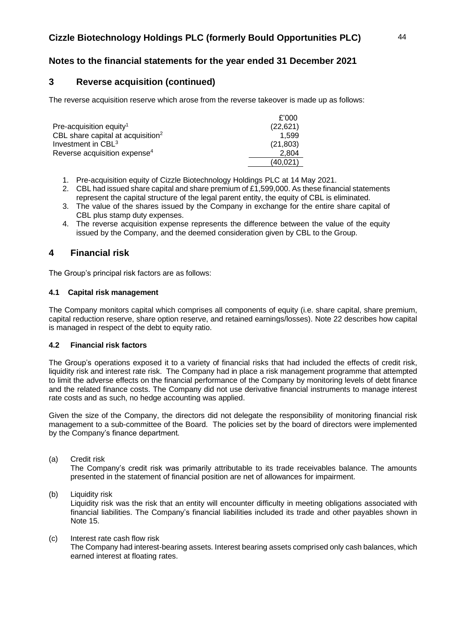# **3 Reverse acquisition (continued)**

The reverse acquisition reserve which arose from the reverse takeover is made up as follows:

|                                               | £'000     |
|-----------------------------------------------|-----------|
| Pre-acquisition equity <sup>1</sup>           | (22, 621) |
| CBL share capital at acquisition <sup>2</sup> | 1.599     |
| Investment in CBL <sup>3</sup>                | (21, 803) |
| Reverse acquisition expense <sup>4</sup>      | 2.804     |
|                                               | (40.021)  |

- 1. Pre-acquisition equity of Cizzle Biotechnology Holdings PLC at 14 May 2021.
- 2. CBL had issued share capital and share premium of £1,599,000. As these financial statements represent the capital structure of the legal parent entity, the equity of CBL is eliminated.
- 3. The value of the shares issued by the Company in exchange for the entire share capital of CBL plus stamp duty expenses.
- 4. The reverse acquisition expense represents the difference between the value of the equity issued by the Company, and the deemed consideration given by CBL to the Group.

# **4 Financial risk**

The Group's principal risk factors are as follows:

### **4.1 Capital risk management**

The Company monitors capital which comprises all components of equity (i.e. share capital, share premium, capital reduction reserve, share option reserve, and retained earnings/losses). Note 22 describes how capital is managed in respect of the debt to equity ratio.

### **4.2 Financial risk factors**

The Group's operations exposed it to a variety of financial risks that had included the effects of credit risk, liquidity risk and interest rate risk. The Company had in place a risk management programme that attempted to limit the adverse effects on the financial performance of the Company by monitoring levels of debt finance and the related finance costs. The Company did not use derivative financial instruments to manage interest rate costs and as such, no hedge accounting was applied.

Given the size of the Company, the directors did not delegate the responsibility of monitoring financial risk management to a sub-committee of the Board. The policies set by the board of directors were implemented by the Company's finance department.

(a) Credit risk

The Company's credit risk was primarily attributable to its trade receivables balance. The amounts presented in the statement of financial position are net of allowances for impairment.

- (b) Liquidity risk Liquidity risk was the risk that an entity will encounter difficulty in meeting obligations associated with financial liabilities. The Company's financial liabilities included its trade and other payables shown in Note 15.
- (c) Interest rate cash flow risk The Company had interest-bearing assets. Interest bearing assets comprised only cash balances, which earned interest at floating rates.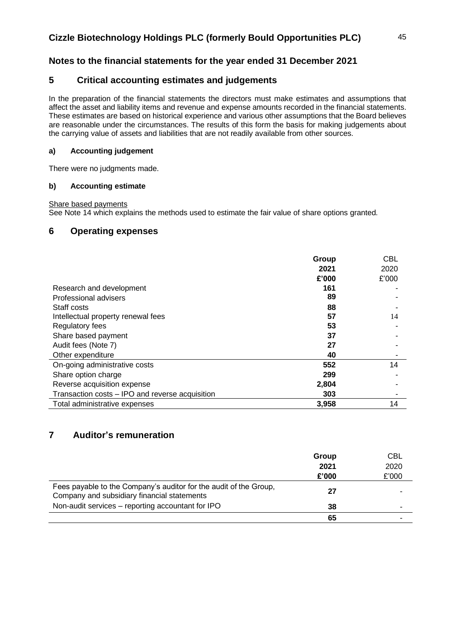# **Notes to the financial statements for the year ended 31 December 2021**

## **5 Critical accounting estimates and judgements**

In the preparation of the financial statements the directors must make estimates and assumptions that affect the asset and liability items and revenue and expense amounts recorded in the financial statements. These estimates are based on historical experience and various other assumptions that the Board believes are reasonable under the circumstances. The results of this form the basis for making judgements about the carrying value of assets and liabilities that are not readily available from other sources.

### **a) Accounting judgement**

There were no judgments made.

### **b) Accounting estimate**

Share based payments

See Note 14 which explains the methods used to estimate the fair value of share options granted.

## **6 Operating expenses**

|                                                 | Group<br>2021 | <b>CBL</b><br>2020 |
|-------------------------------------------------|---------------|--------------------|
|                                                 | £'000         | £'000              |
| Research and development                        | 161           |                    |
| Professional advisers                           | 89            |                    |
| Staff costs                                     | 88            |                    |
| Intellectual property renewal fees              | 57            | 14                 |
| <b>Regulatory fees</b>                          | 53            |                    |
| Share based payment                             | 37            |                    |
| Audit fees (Note 7)                             | 27            |                    |
| Other expenditure                               | 40            |                    |
| On-going administrative costs                   | 552           | 14                 |
| Share option charge                             | 299           |                    |
| Reverse acquisition expense                     | 2,804         |                    |
| Transaction costs - IPO and reverse acquisition | 303           |                    |
| Total administrative expenses                   | 3,958         | 14                 |

# **7 Auditor's remuneration**

|                                                                                                                  | Group | CBL   |
|------------------------------------------------------------------------------------------------------------------|-------|-------|
|                                                                                                                  | 2021  | 2020  |
|                                                                                                                  | £'000 | £'000 |
| Fees payable to the Company's auditor for the audit of the Group,<br>Company and subsidiary financial statements | 27    |       |
| Non-audit services - reporting accountant for IPO                                                                | 38    |       |
|                                                                                                                  | 65    |       |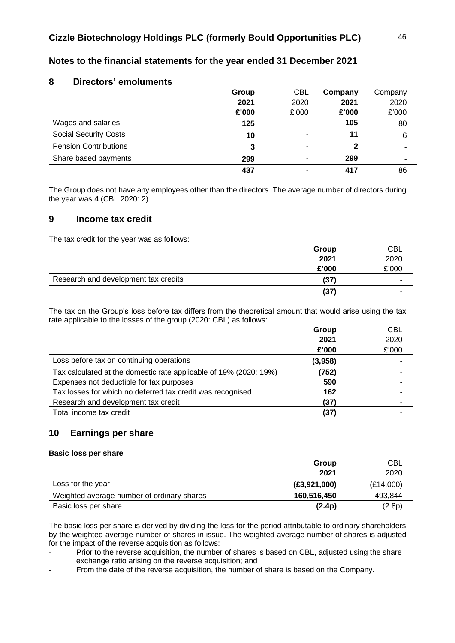| 8<br><b>Directors' emoluments</b> |       |            |         |         |
|-----------------------------------|-------|------------|---------|---------|
|                                   | Group | <b>CBL</b> | Company | Company |
|                                   | 2021  | 2020       | 2021    | 2020    |
|                                   | £'000 | £'000      | £'000   | £'000   |
| Wages and salaries                | 125   | ٠          | 105     | 80      |
| <b>Social Security Costs</b>      | 10    | ۰          | 11      | 6       |
| <b>Pension Contributions</b>      | 3     | ۰          | 2       |         |
| Share based payments              | 299   | ۰          | 299     | ۰       |
|                                   | 437   |            | 417     | 86      |

# **Notes to the financial statements for the year ended 31 December 2021**

The Group does not have any employees other than the directors. The average number of directors during the year was 4 (CBL 2020: 2).

### **9 Income tax credit**

The tax credit for the year was as follows:

|                                      | Group | <b>CBL</b> |
|--------------------------------------|-------|------------|
|                                      | 2021  | 2020       |
|                                      | £'000 | £'000      |
| Research and development tax credits | (37)  | -          |
|                                      | (37)  |            |

The tax on the Group's loss before tax differs from the theoretical amount that would arise using the tax rate applicable to the losses of the group (2020: CBL) as follows:

|                                                                   | Group   | <b>CBL</b> |
|-------------------------------------------------------------------|---------|------------|
|                                                                   | 2021    | 2020       |
|                                                                   | £'000   | £'000      |
| Loss before tax on continuing operations                          | (3,958) |            |
| Tax calculated at the domestic rate applicable of 19% (2020: 19%) | (752)   |            |
| Expenses not deductible for tax purposes                          | 590     |            |
| Tax losses for which no deferred tax credit was recognised        | 162     |            |
| Research and development tax credit                               | (37)    |            |
| Total income tax credit                                           | (37)    |            |

### **10 Earnings per share**

### **Basic loss per share**

|                                            | Group          | <b>CBL</b> |
|--------------------------------------------|----------------|------------|
|                                            | 2021           | 2020       |
| Loss for the year                          | (E3, 921, 000) | (E14,000)  |
| Weighted average number of ordinary shares | 160,516,450    | 493,844    |
| Basic loss per share                       | (2.4p)         | (2.8p)     |

The basic loss per share is derived by dividing the loss for the period attributable to ordinary shareholders by the weighted average number of shares in issue. The weighted average number of shares is adjusted for the impact of the reverse acquisition as follows:

Prior to the reverse acquisition, the number of shares is based on CBL, adjusted using the share exchange ratio arising on the reverse acquisition; and

From the date of the reverse acquisition, the number of share is based on the Company.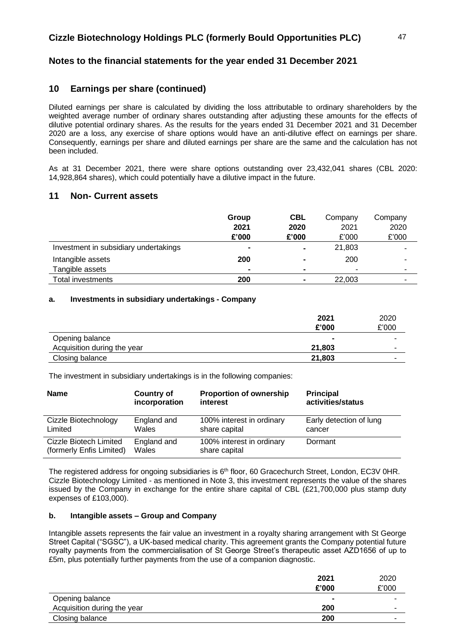# **10 Earnings per share (continued)**

Diluted earnings per share is calculated by dividing the loss attributable to ordinary shareholders by the weighted average number of ordinary shares outstanding after adjusting these amounts for the effects of dilutive potential ordinary shares. As the results for the years ended 31 December 2021 and 31 December 2020 are a loss, any exercise of share options would have an anti-dilutive effect on earnings per share. Consequently, earnings per share and diluted earnings per share are the same and the calculation has not been included.

As at 31 December 2021, there were share options outstanding over 23,432,041 shares (CBL 2020: 14,928,864 shares), which could potentially have a dilutive impact in the future.

## **11 Non- Current assets**

|                                       | Group          | <b>CBL</b>     | Company | Company                  |
|---------------------------------------|----------------|----------------|---------|--------------------------|
|                                       | 2021           | 2020           | 2021    | 2020                     |
|                                       | £'000          | £'000          | £'000   | £'000                    |
| Investment in subsidiary undertakings | $\blacksquare$ | $\blacksquare$ | 21,803  | ٠                        |
| Intangible assets                     | 200            |                | 200     | $\overline{\phantom{0}}$ |
| Tangible assets                       | $\blacksquare$ |                | ۰       | ۰                        |
| Total investments                     | 200            | $\blacksquare$ | 22,003  | -                        |

### **a. Investments in subsidiary undertakings - Company**

|                             | 2021   | 2020  |
|-----------------------------|--------|-------|
|                             | £'000  | £'000 |
| Opening balance             | $\sim$ |       |
| Acquisition during the year | 21,803 |       |
| Closing balance             | 21,803 |       |

The investment in subsidiary undertakings is in the following companies:

| <b>Name</b>              | <b>Country of</b> | <b>Proportion of ownership</b> | <b>Principal</b>        |
|--------------------------|-------------------|--------------------------------|-------------------------|
|                          | incorporation     | interest                       | activities/status       |
| Cizzle Biotechnology     | England and       | 100% interest in ordinary      | Early detection of lung |
| Limited                  | Wales             | share capital                  | cancer                  |
| Cizzle Biotech Limited   | England and       | 100% interest in ordinary      | Dormant                 |
| (formerly Enfis Limited) | Wales             | share capital                  |                         |

The registered address for ongoing subsidiaries is 6<sup>th</sup> floor, 60 Gracechurch Street, London, EC3V 0HR. Cizzle Biotechnology Limited - as mentioned in Note 3, this investment represents the value of the shares issued by the Company in exchange for the entire share capital of CBL (£21,700,000 plus stamp duty expenses of £103,000).

### **b. Intangible assets – Group and Company**

Intangible assets represents the fair value an investment in a royalty sharing arrangement with St George Street Capital ("SGSC"), a UK-based medical charity. This agreement grants the Company potential future royalty payments from the commercialisation of St George Street's therapeutic asset AZD1656 of up to £5m, plus potentially further payments from the use of a companion diagnostic.

|                             | 2021   | 2020                     |
|-----------------------------|--------|--------------------------|
|                             | £'000  | £'000                    |
| Opening balance             | $\sim$ | $\overline{\phantom{a}}$ |
| Acquisition during the year | 200    | ۰                        |
| Closing balance             | 200    | $\overline{\phantom{a}}$ |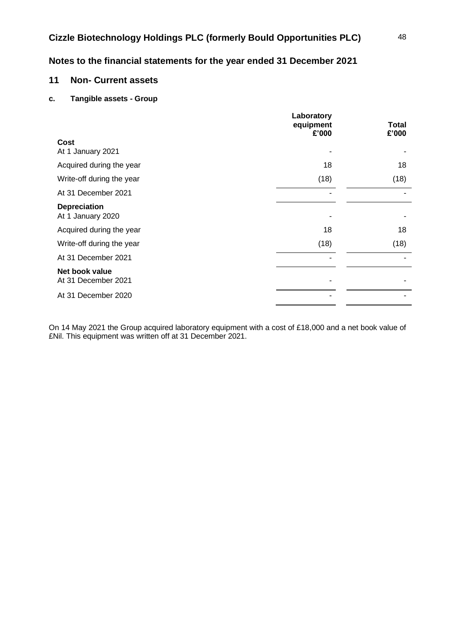# **11 Non- Current assets**

### **c. Tangible assets - Group**

|                                          | Laboratory<br>equipment<br>£'000 | Total<br>£'000 |
|------------------------------------------|----------------------------------|----------------|
| Cost<br>At 1 January 2021                |                                  |                |
| Acquired during the year                 | 18                               | 18             |
| Write-off during the year                | (18)                             | (18)           |
| At 31 December 2021                      |                                  |                |
| <b>Depreciation</b><br>At 1 January 2020 |                                  |                |
| Acquired during the year                 | 18                               | 18             |
| Write-off during the year                | (18)                             | (18)           |
| At 31 December 2021                      |                                  |                |
| Net book value<br>At 31 December 2021    |                                  |                |
| At 31 December 2020                      |                                  |                |
|                                          |                                  |                |

On 14 May 2021 the Group acquired laboratory equipment with a cost of £18,000 and a net book value of £Nil. This equipment was written off at 31 December 2021.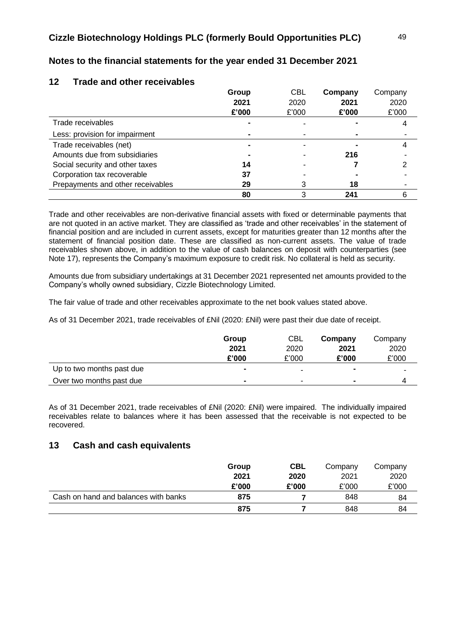|                                   | Group | <b>CBL</b> | Company | Company |
|-----------------------------------|-------|------------|---------|---------|
|                                   | 2021  | 2020       | 2021    | 2020    |
|                                   | £'000 | £'000      | £'000   | £'000   |
| Trade receivables                 |       |            |         |         |
| Less: provision for impairment    |       |            |         |         |
| Trade receivables (net)           |       |            |         |         |
| Amounts due from subsidiaries     |       |            | 216     |         |
| Social security and other taxes   | 14    |            |         |         |
| Corporation tax recoverable       | 37    |            |         |         |
| Prepayments and other receivables | 29    |            | 18      |         |
|                                   | 80    |            | 241     |         |

# **Notes to the financial statements for the year ended 31 December 2021**

Trade and other receivables are non-derivative financial assets with fixed or determinable payments that are not quoted in an active market. They are classified as 'trade and other receivables' in the statement of financial position and are included in current assets, except for maturities greater than 12 months after the statement of financial position date. These are classified as non-current assets. The value of trade receivables shown above, in addition to the value of cash balances on deposit with counterparties (see Note 17), represents the Company's maximum exposure to credit risk. No collateral is held as security.

Amounts due from subsidiary undertakings at 31 December 2021 represented net amounts provided to the Company's wholly owned subsidiary, Cizzle Biotechnology Limited.

The fair value of trade and other receivables approximate to the net book values stated above.

As of 31 December 2021, trade receivables of £Nil (2020: £Nil) were past their due date of receipt.

|                           | Group          | CBL                      | Company        | Company |
|---------------------------|----------------|--------------------------|----------------|---------|
|                           | 2021           | 2020                     | 2021           | 2020    |
|                           | £'000          | £'000                    | £'000          | £'000   |
| Up to two months past due | $\blacksquare$ |                          | $\blacksquare$ | ۰       |
| Over two months past due  |                | $\overline{\phantom{a}}$ | $\blacksquare$ |         |

As of 31 December 2021, trade receivables of £Nil (2020: £Nil) were impaired. The individually impaired receivables relate to balances where it has been assessed that the receivable is not expected to be recovered.

### **13 Cash and cash equivalents**

**12 Trade and other receivables** 

|                                      | Group | <b>CBL</b> | Company | Company |
|--------------------------------------|-------|------------|---------|---------|
|                                      | 2021  | 2020       | 2021    | 2020    |
|                                      | £'000 | £'000      | £'000   | £'000   |
| Cash on hand and balances with banks | 875   |            | 848     | 84      |
|                                      | 875   |            | 848     | 84      |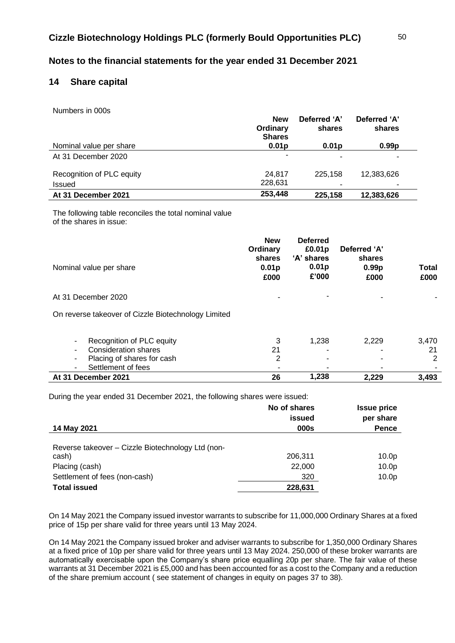# **14 Share capital**

Numbers in 000s

|                           | <b>New</b><br>Ordinary<br><b>Shares</b> | Deferred 'A'<br>shares | Deferred 'A'<br>shares |  |
|---------------------------|-----------------------------------------|------------------------|------------------------|--|
| Nominal value per share   | 0.01 <sub>p</sub>                       | 0.01 <sub>p</sub>      | 0.99 <sub>p</sub>      |  |
| At 31 December 2020       | ۰                                       |                        |                        |  |
| Recognition of PLC equity | 24.817                                  | 225.158                | 12,383,626             |  |
| <b>Issued</b>             | 228.631                                 |                        |                        |  |
| At 31 December 2021       | 253,448                                 | 225,158                | 12,383,626             |  |

The following table reconciles the total nominal value of the shares in issue:

|                         | <b>New</b><br>Ordinary<br>shares | <b>Deferred</b><br>£0.01p<br>'A' shares | Deferred 'A'<br>shares    |                      |
|-------------------------|----------------------------------|-----------------------------------------|---------------------------|----------------------|
| Nominal value per share | 0.01 <sub>p</sub><br>£000        | 0.01 <sub>p</sub><br>£'000              | 0.99 <sub>p</sub><br>£000 | <b>Total</b><br>£000 |
| At 31 December 2020     |                                  | ٠                                       | $\overline{\phantom{0}}$  |                      |

On reverse takeover of Cizzle Biotechnology Limited

| At 31 December 2021                                   | 26 | 1.238 | 2.229 | 3.493 |
|-------------------------------------------------------|----|-------|-------|-------|
| Settlement of fees                                    | -  | -     | ۰     |       |
| Placing of shares for cash<br>۰.                      |    | -     |       |       |
| Consideration shares<br>۰.                            |    | -     | ۰     | 21    |
| Recognition of PLC equity<br>$\overline{\phantom{a}}$ |    | 1.238 | 2.229 | 3.470 |
|                                                       |    |       |       |       |

During the year ended 31 December 2021, the following shares were issued:

|                                                   | No of shares<br>issued | <b>Issue price</b><br>per share |
|---------------------------------------------------|------------------------|---------------------------------|
| 14 May 2021                                       | 000s                   | <b>Pence</b>                    |
| Reverse takeover - Cizzle Biotechnology Ltd (non- |                        |                                 |
| cash)                                             | 206,311                | 10.0 <sub>p</sub>               |
| Placing (cash)                                    | 22,000                 | 10.0 <sub>p</sub>               |
| Settlement of fees (non-cash)                     | 320                    | 10.0 <sub>p</sub>               |
| <b>Total issued</b>                               | 228,631                |                                 |

On 14 May 2021 the Company issued investor warrants to subscribe for 11,000,000 Ordinary Shares at a fixed price of 15p per share valid for three years until 13 May 2024.

On 14 May 2021 the Company issued broker and adviser warrants to subscribe for 1,350,000 Ordinary Shares at a fixed price of 10p per share valid for three years until 13 May 2024. 250,000 of these broker warrants are automatically exercisable upon the Company's share price equalling 20p per share. The fair value of these warrants at 31 December 2021 is £5,000 and has been accounted for as a cost to the Company and a reduction of the share premium account ( see statement of changes in equity on pages 37 to 38).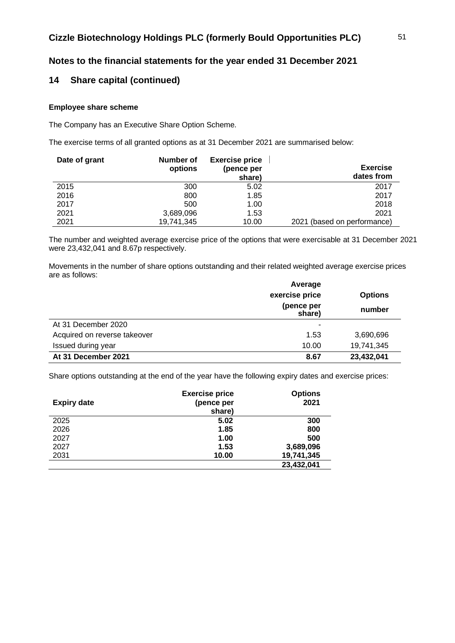## **14 Share capital (continued)**

### **Employee share scheme**

The Company has an Executive Share Option Scheme.

The exercise terms of all granted options as at 31 December 2021 are summarised below:

| Date of grant | Number of<br>options | <b>Exercise price</b><br>(pence per<br>share) | <b>Exercise</b><br>dates from |
|---------------|----------------------|-----------------------------------------------|-------------------------------|
| 2015          | 300                  | 5.02                                          | 2017                          |
| 2016          | 800                  | 1.85                                          | 2017                          |
| 2017          | 500                  | 1.00                                          | 2018                          |
| 2021          | 3,689,096            | 1.53                                          | 2021                          |
| 2021          | 19,741,345           | 10.00                                         | 2021 (based on performance)   |

The number and weighted average exercise price of the options that were exercisable at 31 December 2021 were 23,432,041 and 8.67p respectively.

Movements in the number of share options outstanding and their related weighted average exercise prices are as follows:

|                              | Average              |                |
|------------------------------|----------------------|----------------|
|                              | exercise price       | <b>Options</b> |
|                              | (pence per<br>share) | number         |
| At 31 December 2020          | -                    |                |
| Acquired on reverse takeover | 1.53                 | 3,690,696      |
| Issued during year           | 10.00                | 19,741,345     |
| At 31 December 2021          | 8.67                 | 23,432,041     |

Share options outstanding at the end of the year have the following expiry dates and exercise prices:

| <b>Expiry date</b> | <b>Exercise price</b><br>(pence per<br>share) | <b>Options</b><br>2021 |
|--------------------|-----------------------------------------------|------------------------|
| 2025               | 5.02                                          | 300                    |
| 2026               | 1.85                                          | 800                    |
| 2027               | 1.00                                          | 500                    |
| 2027               | 1.53                                          | 3,689,096              |
| 2031               | 10.00                                         | 19,741,345             |
|                    |                                               | 23,432,041             |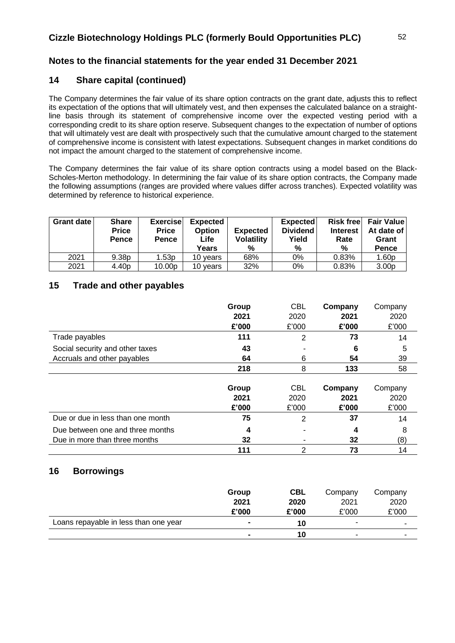# **14 Share capital (continued)**

The Company determines the fair value of its share option contracts on the grant date, adjusts this to reflect its expectation of the options that will ultimately vest, and then expenses the calculated balance on a straightline basis through its statement of comprehensive income over the expected vesting period with a corresponding credit to its share option reserve. Subsequent changes to the expectation of number of options that will ultimately vest are dealt with prospectively such that the cumulative amount charged to the statement of comprehensive income is consistent with latest expectations. Subsequent changes in market conditions do not impact the amount charged to the statement of comprehensive income.

The Company determines the fair value of its share option contracts using a model based on the Black-Scholes-Merton methodology. In determining the fair value of its share option contracts, the Company made the following assumptions (ranges are provided where values differ across tranches). Expected volatility was determined by reference to historical experience.

| Grant date | <b>Share</b><br><b>Price</b><br><b>Pence</b> | <b>Exercise</b><br><b>Price</b><br><b>Pence</b> | <b>Expected</b><br><b>Option</b><br><b>Life</b><br>Years | <b>Expected</b><br><b>Volatility</b><br>% | <b>Expected</b><br><b>Dividend</b><br>Yield<br>% | <b>Risk free</b><br><b>Interest</b><br>Rate<br>% | <b>Fair Value</b><br>At date of<br>Grant<br><b>Pence</b> |
|------------|----------------------------------------------|-------------------------------------------------|----------------------------------------------------------|-------------------------------------------|--------------------------------------------------|--------------------------------------------------|----------------------------------------------------------|
| 2021       | 9.38p                                        | 1.53p                                           | 10 vears                                                 | 68%                                       | 0%                                               | 0.83%                                            | 1.60p                                                    |
| 2021       | 4.40 <sub>p</sub>                            | 10.00p                                          | 10 years                                                 | 32%                                       | 0%                                               | 0.83%                                            | 3.00 <sub>p</sub>                                        |

# **15 Trade and other payables**

|                                   | Group | <b>CBL</b> | Company | Company |
|-----------------------------------|-------|------------|---------|---------|
|                                   | 2021  | 2020       | 2021    | 2020    |
|                                   | £'000 | £'000      | £'000   | £'000   |
| Trade payables                    | 111   | 2          | 73      | 14      |
| Social security and other taxes   | 43    |            | 6       | 5       |
| Accruals and other payables       | 64    | 6          | 54      | 39      |
|                                   | 218   | 8          | 133     | 58      |
|                                   |       |            |         |         |
|                                   | Group | <b>CBL</b> | Company | Company |
|                                   | 2021  | 2020       | 2021    | 2020    |
|                                   | £'000 | £'000      | £'000   | £'000   |
| Due or due in less than one month | 75    | 2          | 37      | 14      |
| Due between one and three months  | 4     |            | 4       | 8       |
| Due in more than three months     | 32    |            | 32      | (8)     |
|                                   | 111   | 2          | 73      | 14      |

# **16 Borrowings**

|                                       | Group                    | <b>CBL</b> | Company | Company |
|---------------------------------------|--------------------------|------------|---------|---------|
|                                       | 2021                     | 2020       | 2021    | 2020    |
|                                       | £'000                    | £'000      | £'000   | £'000   |
| Loans repayable in less than one year | $\overline{\phantom{0}}$ | 10         | ۰       | -       |
|                                       | $\blacksquare$           | 10         | ۰       | -       |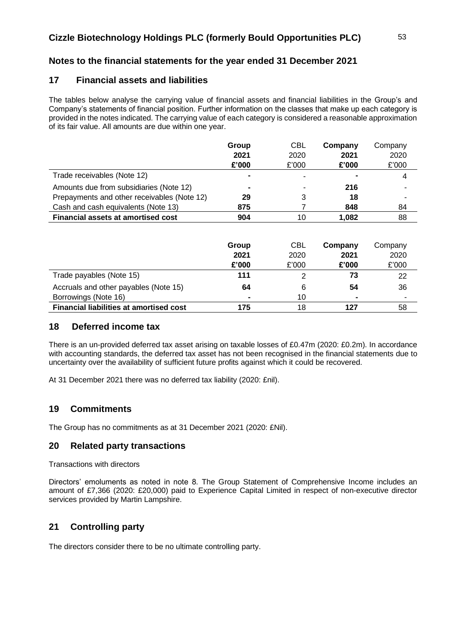# **Notes to the financial statements for the year ended 31 December 2021**

## **17 Financial assets and liabilities**

The tables below analyse the carrying value of financial assets and financial liabilities in the Group's and Company's statements of financial position. Further information on the classes that make up each category is provided in the notes indicated. The carrying value of each category is considered a reasonable approximation of its fair value. All amounts are due within one year.

|                                             | Group          | <b>CBL</b> | Company | Company |
|---------------------------------------------|----------------|------------|---------|---------|
|                                             | 2021           | 2020       | 2021    | 2020    |
|                                             | £'000          | £'000      | £'000   | £'000   |
| Trade receivables (Note 12)                 | $\blacksquare$ |            | ٠       | 4       |
| Amounts due from subsidiaries (Note 12)     | $\blacksquare$ |            | 216     | ٠       |
| Prepayments and other receivables (Note 12) | 29             | 3          | 18      |         |
| Cash and cash equivalents (Note 13)         | 875            |            | 848     | 84      |
| <b>Financial assets at amortised cost</b>   | 904            | 10         | 1.082   | 88      |

|                                                | Group          | CBL   | Company        | Company                  |
|------------------------------------------------|----------------|-------|----------------|--------------------------|
|                                                | 2021           | 2020  | 2021           | 2020                     |
|                                                | £'000          | £'000 | £'000          | £'000                    |
| Trade payables (Note 15)                       | 111            |       | 73             | 22                       |
| Accruals and other payables (Note 15)          | 64             | 6     | 54             | 36                       |
| Borrowings (Note 16)                           | $\blacksquare$ | 10    | $\blacksquare$ | $\overline{\phantom{0}}$ |
| <b>Financial liabilities at amortised cost</b> | 175            | 18    | 127            | 58                       |

### **18 Deferred income tax**

There is an un-provided deferred tax asset arising on taxable losses of £0.47m (2020: £0.2m). In accordance with accounting standards, the deferred tax asset has not been recognised in the financial statements due to uncertainty over the availability of sufficient future profits against which it could be recovered.

At 31 December 2021 there was no deferred tax liability (2020: £nil).

# **19 Commitments**

The Group has no commitments as at 31 December 2021 (2020: £Nil).

### **20 Related party transactions**

Transactions with directors

Directors' emoluments as noted in note 8. The Group Statement of Comprehensive Income includes an amount of £7,366 (2020: £20,000) paid to Experience Capital Limited in respect of non-executive director services provided by Martin Lampshire.

# **21 Controlling party**

The directors consider there to be no ultimate controlling party.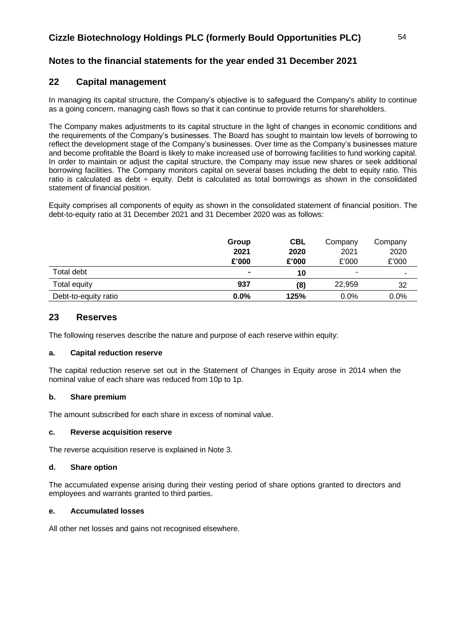# **22 Capital management**

In managing its capital structure, the Company's objective is to safeguard the Company's ability to continue as a going concern, managing cash flows so that it can continue to provide returns for shareholders.

The Company makes adjustments to its capital structure in the light of changes in economic conditions and the requirements of the Company's businesses. The Board has sought to maintain low levels of borrowing to reflect the development stage of the Company's businesses. Over time as the Company's businesses mature and become profitable the Board is likely to make increased use of borrowing facilities to fund working capital. In order to maintain or adjust the capital structure, the Company may issue new shares or seek additional borrowing facilities. The Company monitors capital on several bases including the debt to equity ratio. This ratio is calculated as debt ÷ equity. Debt is calculated as total borrowings as shown in the consolidated statement of financial position.

Equity comprises all components of equity as shown in the consolidated statement of financial position. The debt-to-equity ratio at 31 December 2021 and 31 December 2020 was as follows:

|                      | Group          | <b>CBL</b> | Company | Company |
|----------------------|----------------|------------|---------|---------|
|                      | 2021           | 2020       | 2021    | 2020    |
|                      | £'000          | £'000      | £'000   | £'000   |
| Total debt           | $\blacksquare$ | 10         | ٠       |         |
| Total equity         | 937            | (8)        | 22,959  | 32      |
| Debt-to-equity ratio | 0.0%           | 125%       | $0.0\%$ | 0.0%    |

### **23 Reserves**

The following reserves describe the nature and purpose of each reserve within equity:

### **a. Capital reduction reserve**

The capital reduction reserve set out in the Statement of Changes in Equity arose in 2014 when the nominal value of each share was reduced from 10p to 1p.

### **b. Share premium**

The amount subscribed for each share in excess of nominal value.

### **c. Reverse acquisition reserve**

The reverse acquisition reserve is explained in Note 3.

### **d. Share option**

The accumulated expense arising during their vesting period of share options granted to directors and employees and warrants granted to third parties.

### **e. Accumulated losses**

All other net losses and gains not recognised elsewhere.